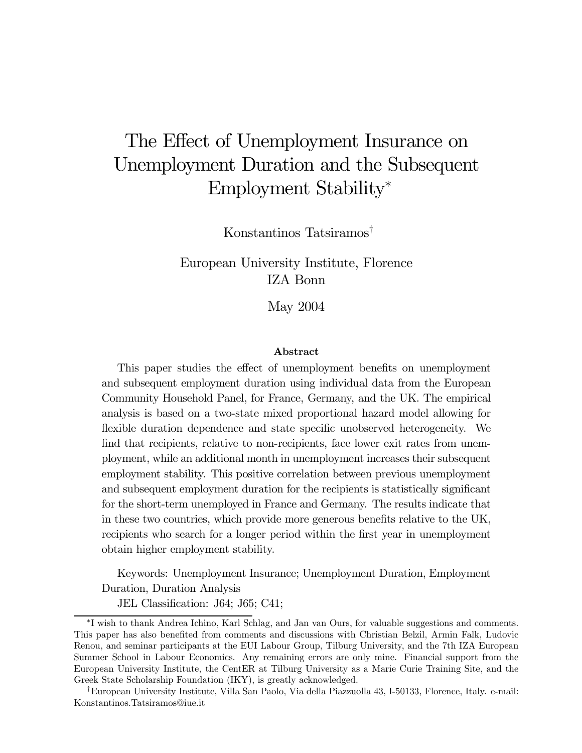# The Effect of Unemployment Insurance on Unemployment Duration and the Subsequent Employment Stability<sup>∗</sup>

Konstantinos Tatsiramos†

European University Institute, Florence IZA Bonn

May 2004

#### Abstract

This paper studies the effect of unemployment benefits on unemployment and subsequent employment duration using individual data from the European Community Household Panel, for France, Germany, and the UK. The empirical analysis is based on a two-state mixed proportional hazard model allowing for flexible duration dependence and state specific unobserved heterogeneity. We find that recipients, relative to non-recipients, face lower exit rates from unemployment, while an additional month in unemployment increases their subsequent employment stability. This positive correlation between previous unemployment and subsequent employment duration for the recipients is statistically significant for the short-term unemployed in France and Germany. The results indicate that in these two countries, which provide more generous benefits relative to the UK, recipients who search for a longer period within the first year in unemployment obtain higher employment stability.

Keywords: Unemployment Insurance; Unemployment Duration, Employment Duration, Duration Analysis

JEL Classification: J64; J65; C41;

<sup>∗</sup>I wish to thank Andrea Ichino, Karl Schlag, and Jan van Ours, for valuable suggestions and comments. This paper has also benefited from comments and discussions with Christian Belzil, Armin Falk, Ludovic Renou, and seminar participants at the EUI Labour Group, Tilburg University, and the 7th IZA European Summer School in Labour Economics. Any remaining errors are only mine. Financial support from the European University Institute, the CentER at Tilburg University as a Marie Curie Training Site, and the Greek State Scholarship Foundation (IKY), is greatly acknowledged.

<sup>†</sup>European University Institute, Villa San Paolo, Via della Piazzuolla 43, I-50133, Florence, Italy. e-mail: Konstantinos.Tatsiramos@iue.it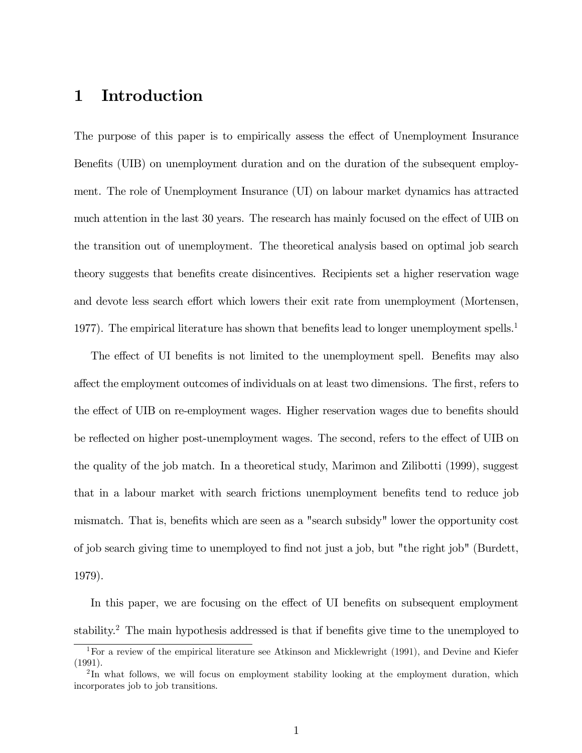# 1 Introduction

The purpose of this paper is to empirically assess the effect of Unemployment Insurance Benefits (UIB) on unemployment duration and on the duration of the subsequent employment. The role of Unemployment Insurance (UI) on labour market dynamics has attracted much attention in the last 30 years. The research has mainly focused on the effect of UIB on the transition out of unemployment. The theoretical analysis based on optimal job search theory suggests that benefits create disincentives. Recipients set a higher reservation wage and devote less search effort which lowers their exit rate from unemployment (Mortensen, 1977). The empirical literature has shown that benefits lead to longer unemployment spells.<sup>1</sup>

The effect of UI benefits is not limited to the unemployment spell. Benefits may also affect the employment outcomes of individuals on at least two dimensions. The first, refers to the effect of UIB on re-employment wages. Higher reservation wages due to benefits should be reflected on higher post-unemployment wages. The second, refers to the effect of UIB on the quality of the job match. In a theoretical study, Marimon and Zilibotti (1999), suggest that in a labour market with search frictions unemployment benefits tend to reduce job mismatch. That is, benefits which are seen as a "search subsidy" lower the opportunity cost of job search giving time to unemployed to find not just a job, but "the right job" (Burdett, 1979).

In this paper, we are focusing on the effect of UI benefits on subsequent employment stability.2 The main hypothesis addressed is that if benefits give time to the unemployed to

<sup>&</sup>lt;sup>1</sup>For a review of the empirical literature see Atkinson and Micklewright (1991), and Devine and Kiefer (1991).

<sup>&</sup>lt;sup>2</sup>In what follows, we will focus on employment stability looking at the employment duration, which incorporates job to job transitions.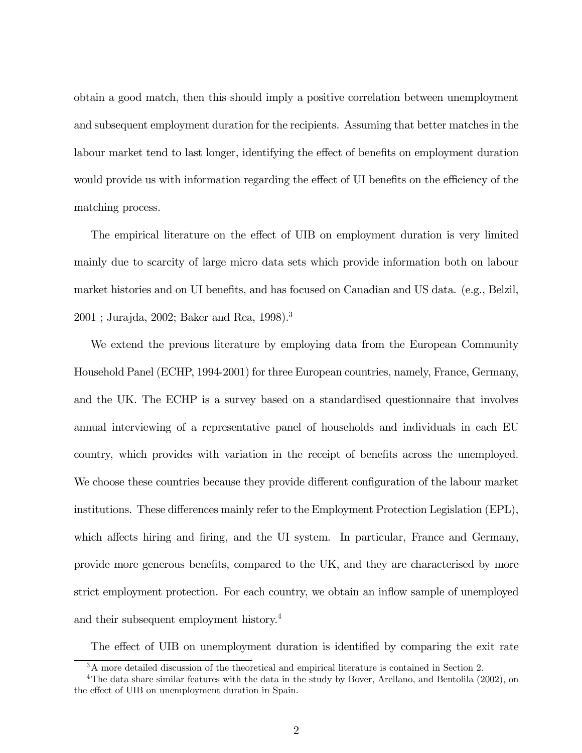obtain a good match, then this should imply a positive correlation between unemployment and subsequent employment duration for the recipients. Assuming that better matches in the labour market tend to last longer, identifying the effect of benefits on employment duration would provide us with information regarding the effect of UI benefits on the efficiency of the matching process.

The empirical literature on the effect of UIB on employment duration is very limited mainly due to scarcity of large micro data sets which provide information both on labour market histories and on UI benefits, and has focused on Canadian and US data. (e.g., Belzil, 2001 ; Jurajda, 2002; Baker and Rea, 1998).3

We extend the previous literature by employing data from the European Community Household Panel (ECHP, 1994-2001) for three European countries, namely, France, Germany, and the UK. The ECHP is a survey based on a standardised questionnaire that involves annual interviewing of a representative panel of households and individuals in each EU country, which provides with variation in the receipt of benefits across the unemployed. We choose these countries because they provide different configuration of the labour market institutions. These differences mainly refer to the Employment Protection Legislation (EPL), which affects hiring and firing, and the UI system. In particular, France and Germany, provide more generous benefits, compared to the UK, and they are characterised by more strict employment protection. For each country, we obtain an inflow sample of unemployed and their subsequent employment history.4

The effect of UIB on unemployment duration is identified by comparing the exit rate

<sup>&</sup>lt;sup>3</sup>A more detailed discussion of the theoretical and empirical literature is contained in Section 2.

<sup>&</sup>lt;sup>4</sup>The data share similar features with the data in the study by Bover, Arellano, and Bentolila (2002), on the effect of UIB on unemployment duration in Spain.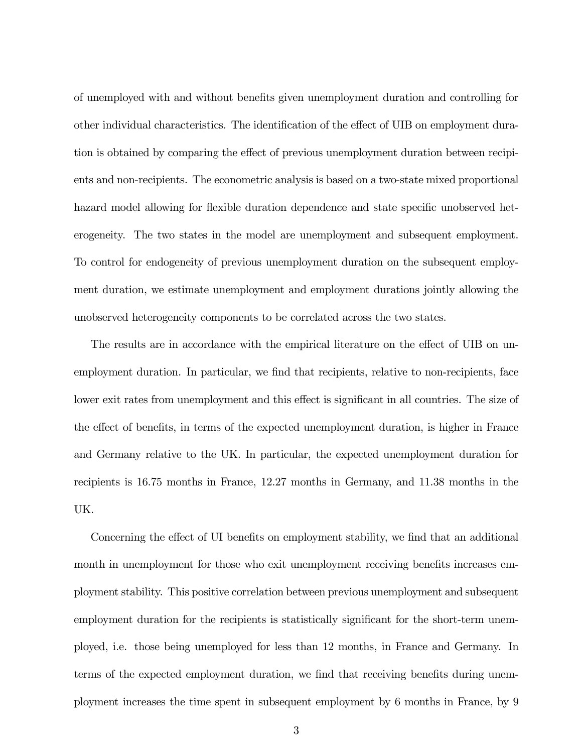of unemployed with and without benefits given unemployment duration and controlling for other individual characteristics. The identification of the effect of UIB on employment duration is obtained by comparing the effect of previous unemployment duration between recipients and non-recipients. The econometric analysis is based on a two-state mixed proportional hazard model allowing for flexible duration dependence and state specific unobserved heterogeneity. The two states in the model are unemployment and subsequent employment. To control for endogeneity of previous unemployment duration on the subsequent employment duration, we estimate unemployment and employment durations jointly allowing the unobserved heterogeneity components to be correlated across the two states.

The results are in accordance with the empirical literature on the effect of UIB on unemployment duration. In particular, we find that recipients, relative to non-recipients, face lower exit rates from unemployment and this effect is significant in all countries. The size of the effect of benefits, in terms of the expected unemployment duration, is higher in France and Germany relative to the UK. In particular, the expected unemployment duration for recipients is 16.75 months in France, 12.27 months in Germany, and 11.38 months in the UK.

Concerning the effect of UI benefits on employment stability, we find that an additional month in unemployment for those who exit unemployment receiving benefits increases employment stability. This positive correlation between previous unemployment and subsequent employment duration for the recipients is statistically significant for the short-term unemployed, i.e. those being unemployed for less than 12 months, in France and Germany. In terms of the expected employment duration, we find that receiving benefits during unemployment increases the time spent in subsequent employment by 6 months in France, by 9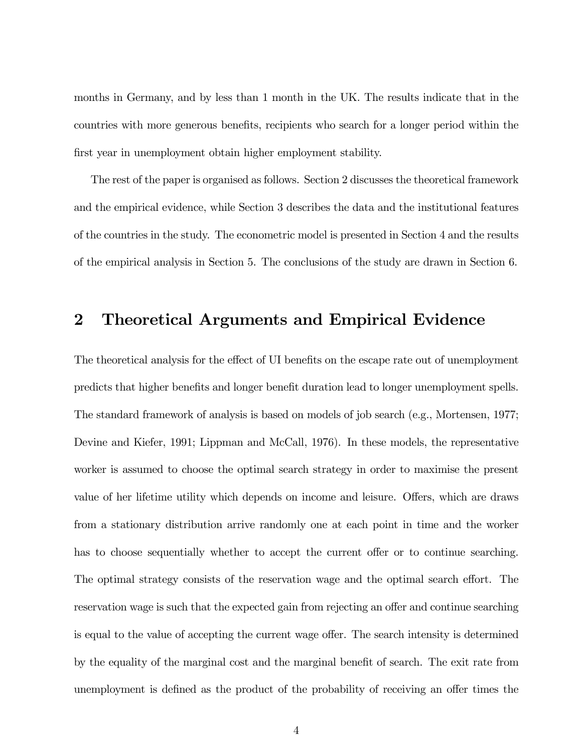months in Germany, and by less than 1 month in the UK. The results indicate that in the countries with more generous benefits, recipients who search for a longer period within the first year in unemployment obtain higher employment stability.

The rest of the paper is organised as follows. Section 2 discusses the theoretical framework and the empirical evidence, while Section 3 describes the data and the institutional features of the countries in the study. The econometric model is presented in Section 4 and the results of the empirical analysis in Section 5. The conclusions of the study are drawn in Section 6.

# 2 Theoretical Arguments and Empirical Evidence

The theoretical analysis for the effect of UI benefits on the escape rate out of unemployment predicts that higher benefits and longer benefit duration lead to longer unemployment spells. The standard framework of analysis is based on models of job search (e.g., Mortensen, 1977; Devine and Kiefer, 1991; Lippman and McCall, 1976). In these models, the representative worker is assumed to choose the optimal search strategy in order to maximise the present value of her lifetime utility which depends on income and leisure. Offers, which are draws from a stationary distribution arrive randomly one at each point in time and the worker has to choose sequentially whether to accept the current offer or to continue searching. The optimal strategy consists of the reservation wage and the optimal search effort. The reservation wage is such that the expected gain from rejecting an offer and continue searching is equal to the value of accepting the current wage offer. The search intensity is determined by the equality of the marginal cost and the marginal benefit of search. The exit rate from unemployment is defined as the product of the probability of receiving an offer times the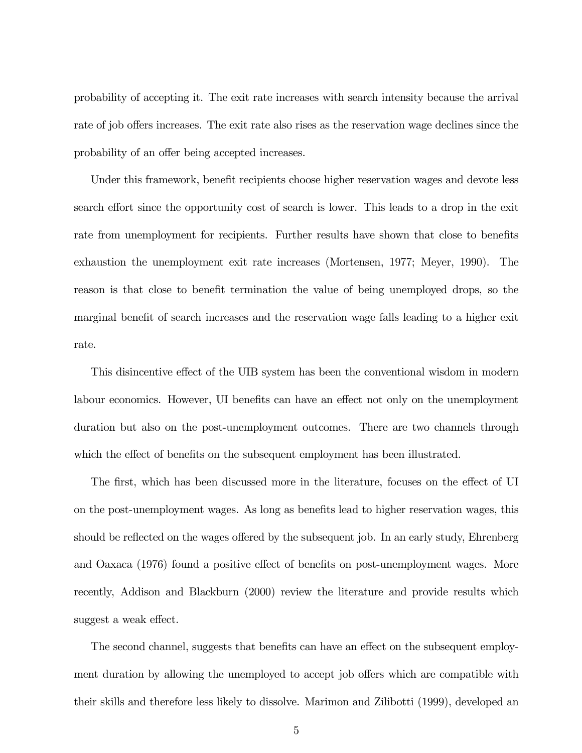probability of accepting it. The exit rate increases with search intensity because the arrival rate of job offers increases. The exit rate also rises as the reservation wage declines since the probability of an offer being accepted increases.

Under this framework, benefit recipients choose higher reservation wages and devote less search effort since the opportunity cost of search is lower. This leads to a drop in the exit rate from unemployment for recipients. Further results have shown that close to benefits exhaustion the unemployment exit rate increases (Mortensen, 1977; Meyer, 1990). The reason is that close to benefit termination the value of being unemployed drops, so the marginal benefit of search increases and the reservation wage falls leading to a higher exit rate.

This disincentive effect of the UIB system has been the conventional wisdom in modern labour economics. However, UI benefits can have an effect not only on the unemployment duration but also on the post-unemployment outcomes. There are two channels through which the effect of benefits on the subsequent employment has been illustrated.

The first, which has been discussed more in the literature, focuses on the effect of UI on the post-unemployment wages. As long as benefits lead to higher reservation wages, this should be reflected on the wages offered by the subsequent job. In an early study, Ehrenberg and Oaxaca (1976) found a positive effect of benefits on post-unemployment wages. More recently, Addison and Blackburn (2000) review the literature and provide results which suggest a weak effect.

The second channel, suggests that benefits can have an effect on the subsequent employment duration by allowing the unemployed to accept job offers which are compatible with their skills and therefore less likely to dissolve. Marimon and Zilibotti (1999), developed an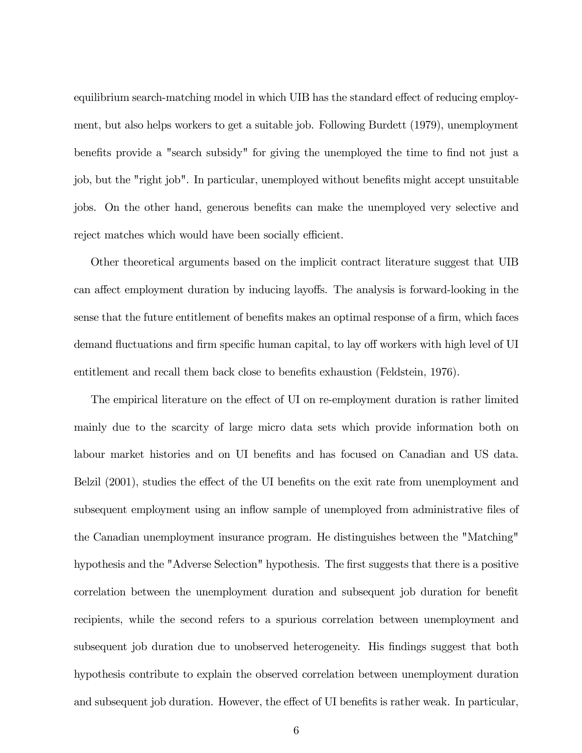equilibrium search-matching model in which UIB has the standard effect of reducing employment, but also helps workers to get a suitable job. Following Burdett (1979), unemployment benefits provide a "search subsidy" for giving the unemployed the time to find not just a job, but the "right job". In particular, unemployed without benefits might accept unsuitable jobs. On the other hand, generous benefits can make the unemployed very selective and reject matches which would have been socially efficient.

Other theoretical arguments based on the implicit contract literature suggest that UIB can affect employment duration by inducing layoffs. The analysis is forward-looking in the sense that the future entitlement of benefits makes an optimal response of a firm, which faces demand fluctuations and firm specific human capital, to lay off workers with high level of UI entitlement and recall them back close to benefits exhaustion (Feldstein, 1976).

The empirical literature on the effect of UI on re-employment duration is rather limited mainly due to the scarcity of large micro data sets which provide information both on labour market histories and on UI benefits and has focused on Canadian and US data. Belzil (2001), studies the effect of the UI benefits on the exit rate from unemployment and subsequent employment using an inflow sample of unemployed from administrative files of the Canadian unemployment insurance program. He distinguishes between the "Matching" hypothesis and the "Adverse Selection" hypothesis. The first suggests that there is a positive correlation between the unemployment duration and subsequent job duration for benefit recipients, while the second refers to a spurious correlation between unemployment and subsequent job duration due to unobserved heterogeneity. His findings suggest that both hypothesis contribute to explain the observed correlation between unemployment duration and subsequent job duration. However, the effect of UI benefits is rather weak. In particular,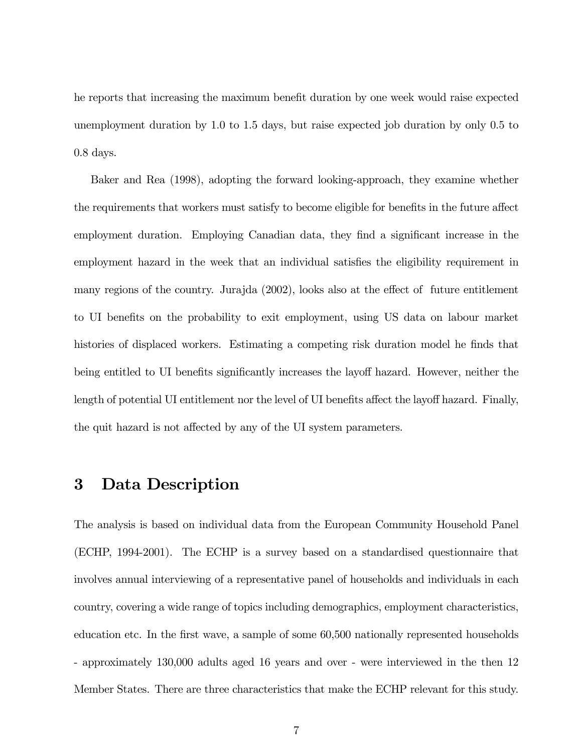he reports that increasing the maximum benefit duration by one week would raise expected unemployment duration by 1.0 to 1.5 days, but raise expected job duration by only 0.5 to 0.8 days.

Baker and Rea (1998), adopting the forward looking-approach, they examine whether the requirements that workers must satisfy to become eligible for benefits in the future affect employment duration. Employing Canadian data, they find a significant increase in the employment hazard in the week that an individual satisfies the eligibility requirement in many regions of the country. Jurajda (2002), looks also at the effect of future entitlement to UI benefits on the probability to exit employment, using US data on labour market histories of displaced workers. Estimating a competing risk duration model he finds that being entitled to UI benefits significantly increases the layoff hazard. However, neither the length of potential UI entitlement nor the level of UI benefits affect the layoff hazard. Finally, the quit hazard is not affected by any of the UI system parameters.

## 3 Data Description

The analysis is based on individual data from the European Community Household Panel (ECHP, 1994-2001). The ECHP is a survey based on a standardised questionnaire that involves annual interviewing of a representative panel of households and individuals in each country, covering a wide range of topics including demographics, employment characteristics, education etc. In the first wave, a sample of some 60,500 nationally represented households - approximately 130,000 adults aged 16 years and over - were interviewed in the then 12 Member States. There are three characteristics that make the ECHP relevant for this study.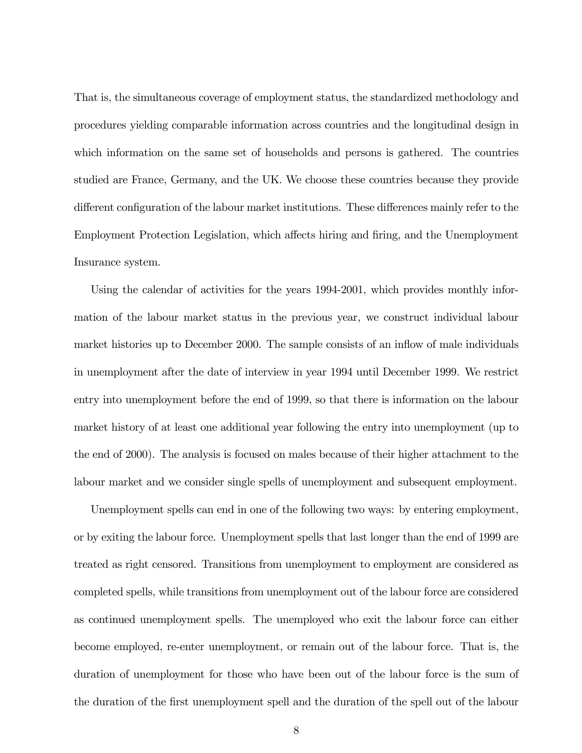That is, the simultaneous coverage of employment status, the standardized methodology and procedures yielding comparable information across countries and the longitudinal design in which information on the same set of households and persons is gathered. The countries studied are France, Germany, and the UK. We choose these countries because they provide different configuration of the labour market institutions. These differences mainly refer to the Employment Protection Legislation, which affects hiring and firing, and the Unemployment Insurance system.

Using the calendar of activities for the years 1994-2001, which provides monthly information of the labour market status in the previous year, we construct individual labour market histories up to December 2000. The sample consists of an inflow of male individuals in unemployment after the date of interview in year 1994 until December 1999. We restrict entry into unemployment before the end of 1999, so that there is information on the labour market history of at least one additional year following the entry into unemployment (up to the end of 2000). The analysis is focused on males because of their higher attachment to the labour market and we consider single spells of unemployment and subsequent employment.

Unemployment spells can end in one of the following two ways: by entering employment, or by exiting the labour force. Unemployment spells that last longer than the end of 1999 are treated as right censored. Transitions from unemployment to employment are considered as completed spells, while transitions from unemployment out of the labour force are considered as continued unemployment spells. The unemployed who exit the labour force can either become employed, re-enter unemployment, or remain out of the labour force. That is, the duration of unemployment for those who have been out of the labour force is the sum of the duration of the first unemployment spell and the duration of the spell out of the labour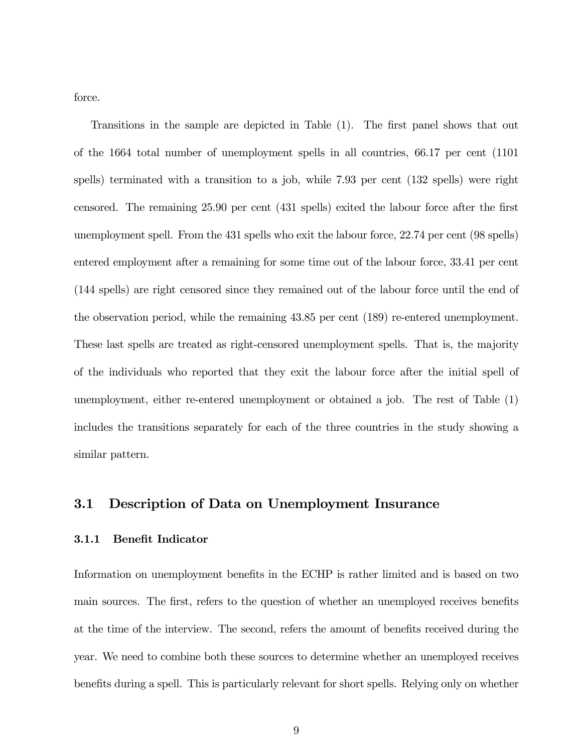force.

Transitions in the sample are depicted in Table (1). The first panel shows that out of the 1664 total number of unemployment spells in all countries, 66.17 per cent (1101 spells) terminated with a transition to a job, while 7.93 per cent (132 spells) were right censored. The remaining 25.90 per cent (431 spells) exited the labour force after the first unemployment spell. From the 431 spells who exit the labour force, 22.74 per cent (98 spells) entered employment after a remaining for some time out of the labour force, 33.41 per cent (144 spells) are right censored since they remained out of the labour force until the end of the observation period, while the remaining 43.85 per cent (189) re-entered unemployment. These last spells are treated as right-censored unemployment spells. That is, the majority of the individuals who reported that they exit the labour force after the initial spell of unemployment, either re-entered unemployment or obtained a job. The rest of Table (1) includes the transitions separately for each of the three countries in the study showing a similar pattern.

### 3.1 Description of Data on Unemployment Insurance

#### 3.1.1 Benefit Indicator

Information on unemployment benefits in the ECHP is rather limited and is based on two main sources. The first, refers to the question of whether an unemployed receives benefits at the time of the interview. The second, refers the amount of benefits received during the year. We need to combine both these sources to determine whether an unemployed receives benefits during a spell. This is particularly relevant for short spells. Relying only on whether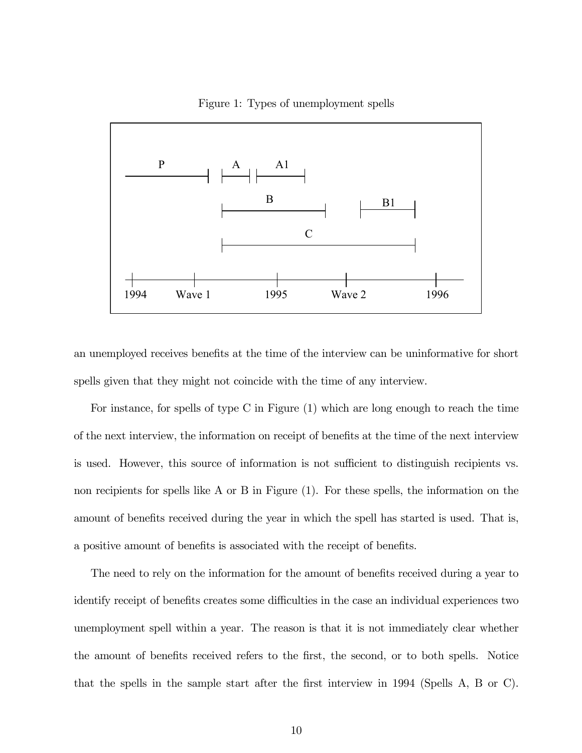Figure 1: Types of unemployment spells



an unemployed receives benefits at the time of the interview can be uninformative for short spells given that they might not coincide with the time of any interview.

For instance, for spells of type C in Figure (1) which are long enough to reach the time of the next interview, the information on receipt of benefits at the time of the next interview is used. However, this source of information is not sufficient to distinguish recipients vs. non recipients for spells like A or B in Figure (1). For these spells, the information on the amount of benefits received during the year in which the spell has started is used. That is, a positive amount of benefits is associated with the receipt of benefits.

The need to rely on the information for the amount of benefits received during a year to identify receipt of benefits creates some difficulties in the case an individual experiences two unemployment spell within a year. The reason is that it is not immediately clear whether the amount of benefits received refers to the first, the second, or to both spells. Notice that the spells in the sample start after the first interview in 1994 (Spells A, B or C).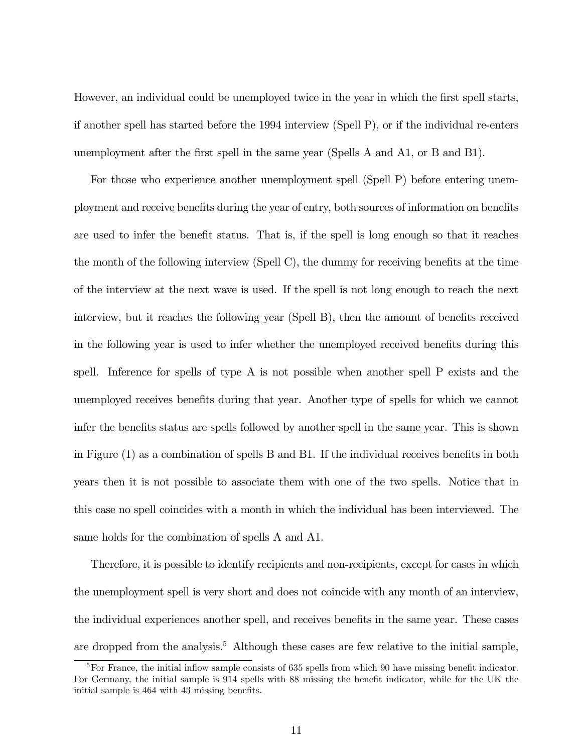However, an individual could be unemployed twice in the year in which the first spell starts, if another spell has started before the 1994 interview (Spell P), or if the individual re-enters unemployment after the first spell in the same year (Spells A and A1, or B and B1).

For those who experience another unemployment spell (Spell P) before entering unemployment and receive benefits during the year of entry, both sources of information on benefits are used to infer the benefit status. That is, if the spell is long enough so that it reaches the month of the following interview (Spell C), the dummy for receiving benefits at the time of the interview at the next wave is used. If the spell is not long enough to reach the next interview, but it reaches the following year (Spell B), then the amount of benefits received in the following year is used to infer whether the unemployed received benefits during this spell. Inference for spells of type A is not possible when another spell P exists and the unemployed receives benefits during that year. Another type of spells for which we cannot infer the benefits status are spells followed by another spell in the same year. This is shown in Figure (1) as a combination of spells B and B1. If the individual receives benefits in both years then it is not possible to associate them with one of the two spells. Notice that in this case no spell coincides with a month in which the individual has been interviewed. The same holds for the combination of spells A and A1.

Therefore, it is possible to identify recipients and non-recipients, except for cases in which the unemployment spell is very short and does not coincide with any month of an interview, the individual experiences another spell, and receives benefits in the same year. These cases are dropped from the analysis.<sup>5</sup> Although these cases are few relative to the initial sample,

<sup>&</sup>lt;sup>5</sup>For France, the initial inflow sample consists of 635 spells from which 90 have missing benefit indicator. For Germany, the initial sample is 914 spells with 88 missing the benefit indicator, while for the UK the initial sample is 464 with 43 missing benefits.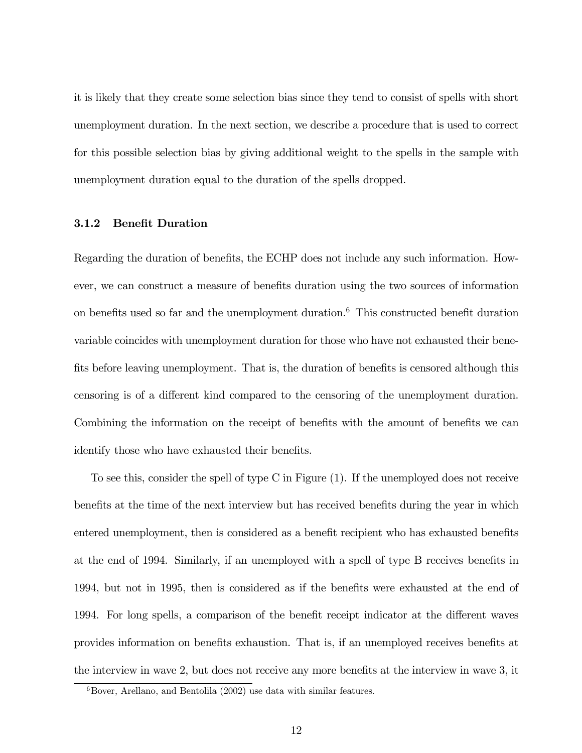it is likely that they create some selection bias since they tend to consist of spells with short unemployment duration. In the next section, we describe a procedure that is used to correct for this possible selection bias by giving additional weight to the spells in the sample with unemployment duration equal to the duration of the spells dropped.

#### 3.1.2 Benefit Duration

Regarding the duration of benefits, the ECHP does not include any such information. However, we can construct a measure of benefits duration using the two sources of information on benefits used so far and the unemployment duration.6 This constructed benefit duration variable coincides with unemployment duration for those who have not exhausted their benefits before leaving unemployment. That is, the duration of benefits is censored although this censoring is of a different kind compared to the censoring of the unemployment duration. Combining the information on the receipt of benefits with the amount of benefits we can identify those who have exhausted their benefits.

To see this, consider the spell of type C in Figure (1). If the unemployed does not receive benefits at the time of the next interview but has received benefits during the year in which entered unemployment, then is considered as a benefit recipient who has exhausted benefits at the end of 1994. Similarly, if an unemployed with a spell of type B receives benefits in 1994, but not in 1995, then is considered as if the benefits were exhausted at the end of 1994. For long spells, a comparison of the benefit receipt indicator at the different waves provides information on benefits exhaustion. That is, if an unemployed receives benefits at the interview in wave 2, but does not receive any more benefits at the interview in wave 3, it

 ${}^{6}$ Bover, Arellano, and Bentolila (2002) use data with similar features.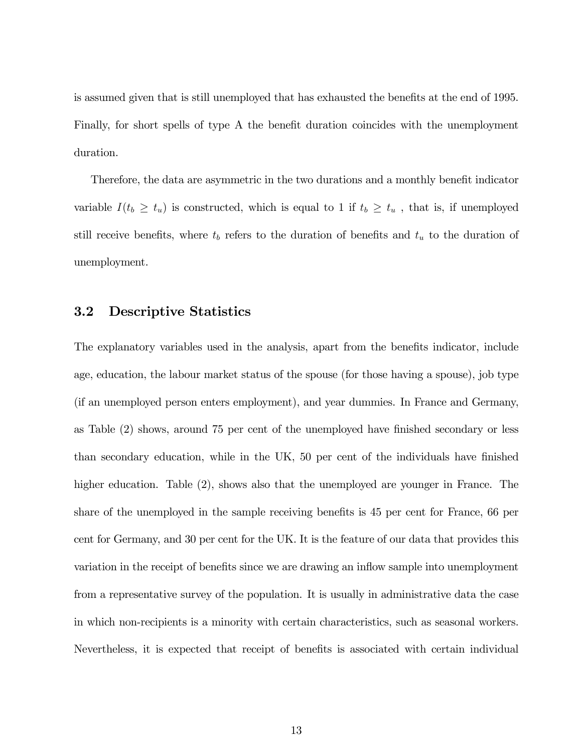is assumed given that is still unemployed that has exhausted the benefits at the end of 1995. Finally, for short spells of type A the benefit duration coincides with the unemployment duration.

Therefore, the data are asymmetric in the two durations and a monthly benefit indicator variable  $I(t_b \geq t_u)$  is constructed, which is equal to 1 if  $t_b \geq t_u$ , that is, if unemployed still receive benefits, where  $t_b$  refers to the duration of benefits and  $t_u$  to the duration of unemployment.

### 3.2 Descriptive Statistics

The explanatory variables used in the analysis, apart from the benefits indicator, include age, education, the labour market status of the spouse (for those having a spouse), job type (if an unemployed person enters employment), and year dummies. In France and Germany, as Table (2) shows, around 75 per cent of the unemployed have finished secondary or less than secondary education, while in the UK, 50 per cent of the individuals have finished higher education. Table (2), shows also that the unemployed are younger in France. The share of the unemployed in the sample receiving benefits is 45 per cent for France, 66 per cent for Germany, and 30 per cent for the UK. It is the feature of our data that provides this variation in the receipt of benefits since we are drawing an inflow sample into unemployment from a representative survey of the population. It is usually in administrative data the case in which non-recipients is a minority with certain characteristics, such as seasonal workers. Nevertheless, it is expected that receipt of benefits is associated with certain individual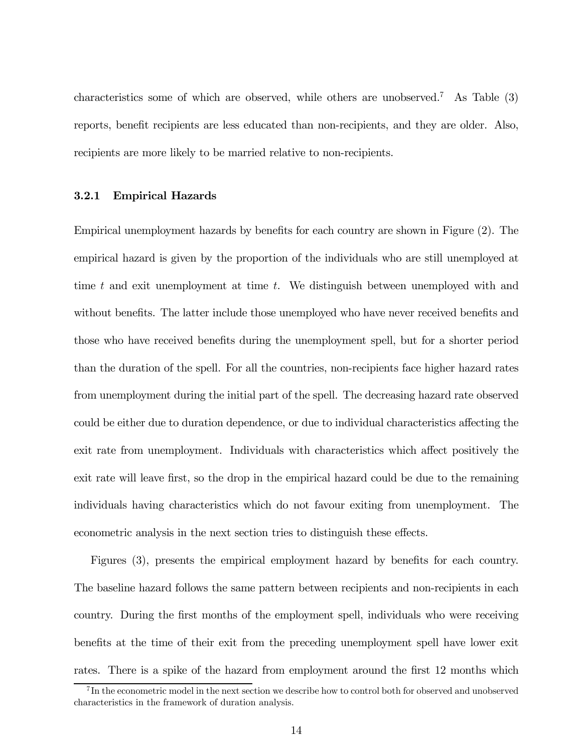characteristics some of which are observed, while others are unobserved.<sup>7</sup> As Table  $(3)$ reports, benefit recipients are less educated than non-recipients, and they are older. Also, recipients are more likely to be married relative to non-recipients.

#### 3.2.1 Empirical Hazards

Empirical unemployment hazards by benefits for each country are shown in Figure (2). The empirical hazard is given by the proportion of the individuals who are still unemployed at time t and exit unemployment at time t. We distinguish between unemployed with and without benefits. The latter include those unemployed who have never received benefits and those who have received benefits during the unemployment spell, but for a shorter period than the duration of the spell. For all the countries, non-recipients face higher hazard rates from unemployment during the initial part of the spell. The decreasing hazard rate observed could be either due to duration dependence, or due to individual characteristics affecting the exit rate from unemployment. Individuals with characteristics which affect positively the exit rate will leave first, so the drop in the empirical hazard could be due to the remaining individuals having characteristics which do not favour exiting from unemployment. The econometric analysis in the next section tries to distinguish these effects.

Figures (3), presents the empirical employment hazard by benefits for each country. The baseline hazard follows the same pattern between recipients and non-recipients in each country. During the first months of the employment spell, individuals who were receiving benefits at the time of their exit from the preceding unemployment spell have lower exit rates. There is a spike of the hazard from employment around the first 12 months which

<sup>&</sup>lt;sup>7</sup>In the econometric model in the next section we describe how to control both for observed and unobserved characteristics in the framework of duration analysis.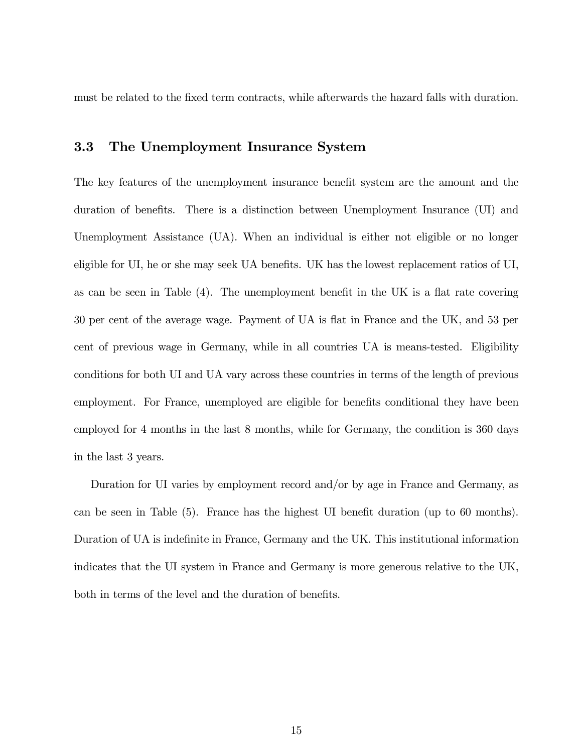must be related to the fixed term contracts, while afterwards the hazard falls with duration.

### 3.3 The Unemployment Insurance System

The key features of the unemployment insurance benefit system are the amount and the duration of benefits. There is a distinction between Unemployment Insurance (UI) and Unemployment Assistance (UA). When an individual is either not eligible or no longer eligible for UI, he or she may seek UA benefits. UK has the lowest replacement ratios of UI, as can be seen in Table (4). The unemployment benefit in the UK is a flat rate covering 30 per cent of the average wage. Payment of UA is flat in France and the UK, and 53 per cent of previous wage in Germany, while in all countries UA is means-tested. Eligibility conditions for both UI and UA vary across these countries in terms of the length of previous employment. For France, unemployed are eligible for benefits conditional they have been employed for 4 months in the last 8 months, while for Germany, the condition is 360 days in the last 3 years.

Duration for UI varies by employment record and/or by age in France and Germany, as can be seen in Table (5). France has the highest UI benefit duration (up to 60 months). Duration of UA is indefinite in France, Germany and the UK. This institutional information indicates that the UI system in France and Germany is more generous relative to the UK, both in terms of the level and the duration of benefits.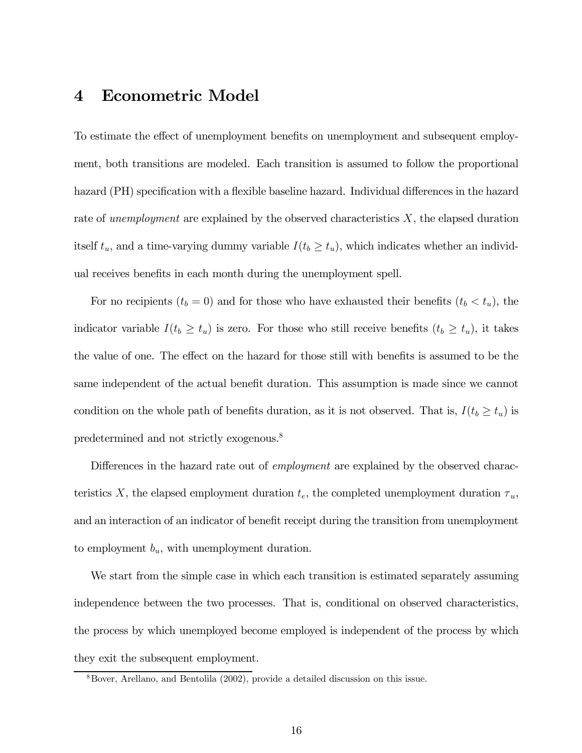### 4 Econometric Model

To estimate the effect of unemployment benefits on unemployment and subsequent employment, both transitions are modeled. Each transition is assumed to follow the proportional hazard (PH) specification with a flexible baseline hazard. Individual differences in the hazard rate of unemployment are explained by the observed characteristics  $X$ , the elapsed duration itself  $t_u$ , and a time-varying dummy variable  $I(t_b \geq t_u)$ , which indicates whether an individual receives benefits in each month during the unemployment spell.

For no recipients  $(t_b = 0)$  and for those who have exhausted their benefits  $(t_b < t_u)$ , the indicator variable  $I(t_b \geq t_u)$  is zero. For those who still receive benefits  $(t_b \geq t_u)$ , it takes the value of one. The effect on the hazard for those still with benefits is assumed to be the same independent of the actual benefit duration. This assumption is made since we cannot condition on the whole path of benefits duration, as it is not observed. That is,  $I(t_b \ge t_u)$  is predetermined and not strictly exogenous.8

Differences in the hazard rate out of *employment* are explained by the observed characteristics X, the elapsed employment duration  $t_e$ , the completed unemployment duration  $\tau_u$ , and an interaction of an indicator of benefit receipt during the transition from unemployment to employment  $b_u$ , with unemployment duration.

We start from the simple case in which each transition is estimated separately assuming independence between the two processes. That is, conditional on observed characteristics, the process by which unemployed become employed is independent of the process by which they exit the subsequent employment.

<sup>8</sup>Bover, Arellano, and Bentolila (2002), provide a detailed discussion on this issue.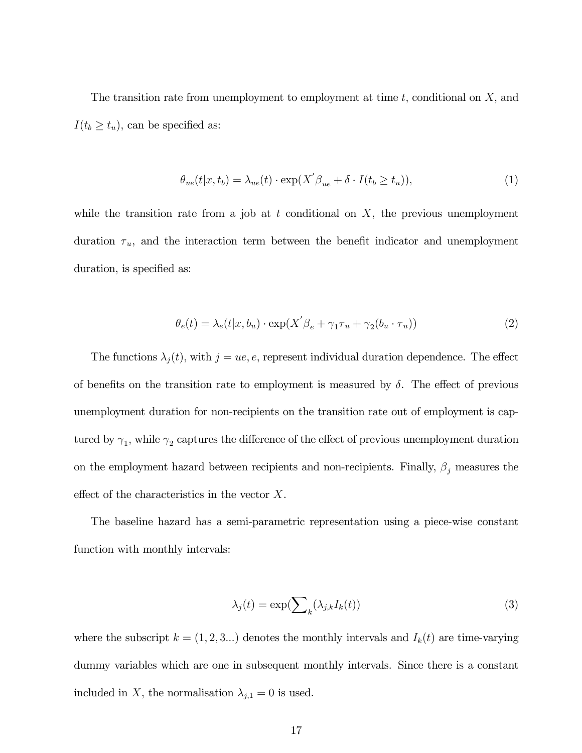The transition rate from unemployment to employment at time  $t$ , conditional on  $X$ , and  $I(t_b \geq t_u)$ , can be specified as:

$$
\theta_{ue}(t|x, t_b) = \lambda_{ue}(t) \cdot \exp(X' \beta_{ue} + \delta \cdot I(t_b \ge t_u)), \tag{1}
$$

while the transition rate from a job at  $t$  conditional on  $X$ , the previous unemployment duration  $\tau_u$ , and the interaction term between the benefit indicator and unemployment duration, is specified as:

$$
\theta_e(t) = \lambda_e(t|x, b_u) \cdot \exp(X'\beta_e + \gamma_1 \tau_u + \gamma_2(b_u \cdot \tau_u))
$$
\n(2)

The functions  $\lambda_j(t)$ , with  $j = ue, e$ , represent individual duration dependence. The effect of benefits on the transition rate to employment is measured by  $\delta$ . The effect of previous unemployment duration for non-recipients on the transition rate out of employment is captured by  $\gamma_1$ , while  $\gamma_2$  captures the difference of the effect of previous unemployment duration on the employment hazard between recipients and non-recipients. Finally,  $\beta_j$  measures the effect of the characteristics in the vector X.

The baseline hazard has a semi-parametric representation using a piece-wise constant function with monthly intervals:

$$
\lambda_j(t) = \exp\left(\sum_k (\lambda_{j,k} I_k(t))\right) \tag{3}
$$

where the subscript  $k = (1, 2, 3...)$  denotes the monthly intervals and  $I_k(t)$  are time-varying dummy variables which are one in subsequent monthly intervals. Since there is a constant included in X, the normalisation  $\lambda_{j,1} = 0$  is used.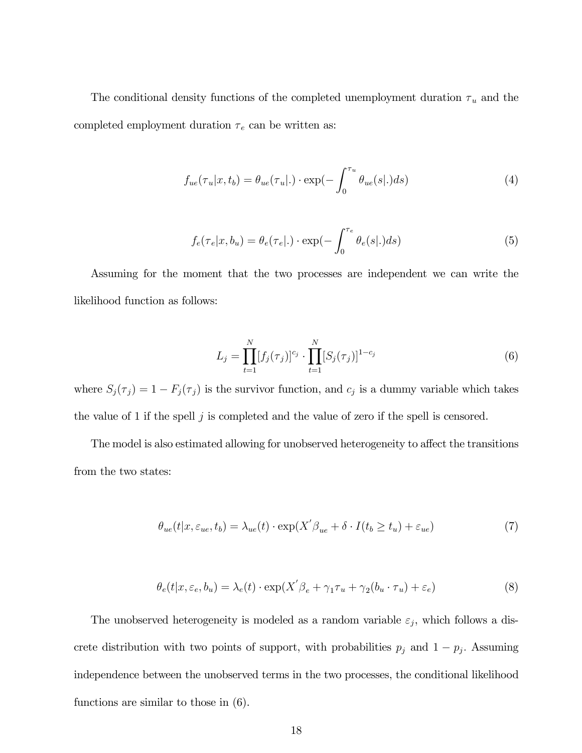The conditional density functions of the completed unemployment duration  $\tau_u$  and the completed employment duration  $\tau_e$  can be written as:

$$
f_{ue}(\tau_u|x, t_b) = \theta_{ue}(\tau_u|.) \cdot \exp(-\int_0^{\tau_u} \theta_{ue}(s|.)ds)
$$
 (4)

$$
f_e(\tau_e|x, b_u) = \theta_e(\tau_e|.) \cdot \exp(-\int_0^{\tau_e} \theta_e(s|.)ds)
$$
 (5)

Assuming for the moment that the two processes are independent we can write the likelihood function as follows:

$$
L_j = \prod_{t=1}^{N} [f_j(\tau_j)]^{c_j} \cdot \prod_{t=1}^{N} [S_j(\tau_j)]^{1-c_j}
$$
\n(6)

where  $S_j(\tau_j)=1 - F_j(\tau_j)$  is the survivor function, and  $c_j$  is a dummy variable which takes the value of 1 if the spell  $j$  is completed and the value of zero if the spell is censored.

The model is also estimated allowing for unobserved heterogeneity to affect the transitions from the two states:

$$
\theta_{ue}(t|x, \varepsilon_{ue}, t_b) = \lambda_{ue}(t) \cdot \exp(X' \beta_{ue} + \delta \cdot I(t_b \ge t_u) + \varepsilon_{ue})
$$
\n<sup>(7)</sup>

$$
\theta_e(t|x, \varepsilon_e, b_u) = \lambda_e(t) \cdot \exp(X'\beta_e + \gamma_1 \tau_u + \gamma_2(b_u \cdot \tau_u) + \varepsilon_e)
$$
\n(8)

The unobserved heterogeneity is modeled as a random variable  $\varepsilon_j$ , which follows a discrete distribution with two points of support, with probabilities  $p_j$  and  $1 - p_j$ . Assuming independence between the unobserved terms in the two processes, the conditional likelihood functions are similar to those in (6).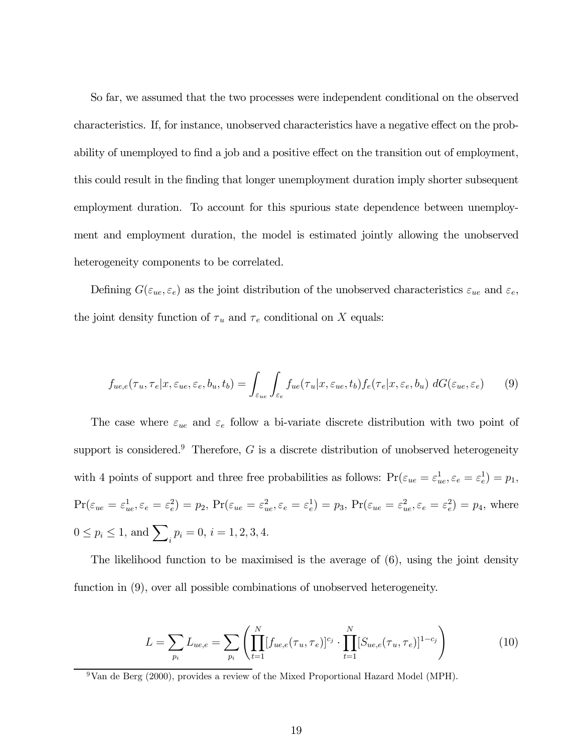So far, we assumed that the two processes were independent conditional on the observed characteristics. If, for instance, unobserved characteristics have a negative effect on the probability of unemployed to find a job and a positive effect on the transition out of employment, this could result in the finding that longer unemployment duration imply shorter subsequent employment duration. To account for this spurious state dependence between unemployment and employment duration, the model is estimated jointly allowing the unobserved heterogeneity components to be correlated.

Defining  $G(\varepsilon_{ue}, \varepsilon_e)$  as the joint distribution of the unobserved characteristics  $\varepsilon_{ue}$  and  $\varepsilon_e$ , the joint density function of  $\tau_u$  and  $\tau_e$  conditional on X equals:

$$
f_{ue,e}(\tau_u, \tau_e | x, \varepsilon_{ue}, \varepsilon_e, b_u, t_b) = \int_{\varepsilon_{ue}} \int_{\varepsilon_e} f_{ue}(\tau_u | x, \varepsilon_{ue}, t_b) f_e(\tau_e | x, \varepsilon_e, b_u) dG(\varepsilon_{ue}, \varepsilon_e)
$$
(9)

The case where  $\varepsilon_{ue}$  and  $\varepsilon_e$  follow a bi-variate discrete distribution with two point of support is considered.<sup>9</sup> Therefore,  $G$  is a discrete distribution of unobserved heterogeneity with 4 points of support and three free probabilities as follows:  $Pr(\varepsilon_{ue} = \varepsilon_{ue}^1, \varepsilon_e = \varepsilon_e^1) = p_1$ ,  $\Pr(\varepsilon_{ue}=\varepsilon_{ue}^1,\varepsilon_e=\varepsilon_e^2)=p_2, \Pr(\varepsilon_{ue}=\varepsilon_{ue}^2,\varepsilon_e=\varepsilon_e^1)=p_3, \Pr(\varepsilon_{ue}=\varepsilon_{ue}^2,\varepsilon_e=\varepsilon_e^2)=p_4, \text{ where }$  $0 \le p_i \le 1$ , and  $\sum_i p_i = 0$ ,  $i = 1, 2, 3, 4$ .

The likelihood function to be maximised is the average of (6), using the joint density function in (9), over all possible combinations of unobserved heterogeneity.

$$
L = \sum_{p_i} L_{ue,e} = \sum_{p_i} \left( \prod_{t=1}^N [f_{ue,e}(\tau_u, \tau_e)]^{c_j} \cdot \prod_{t=1}^N [S_{ue,e}(\tau_u, \tau_e)]^{1-c_j} \right)
$$
(10)

 $9$ Van de Berg (2000), provides a review of the Mixed Proportional Hazard Model (MPH).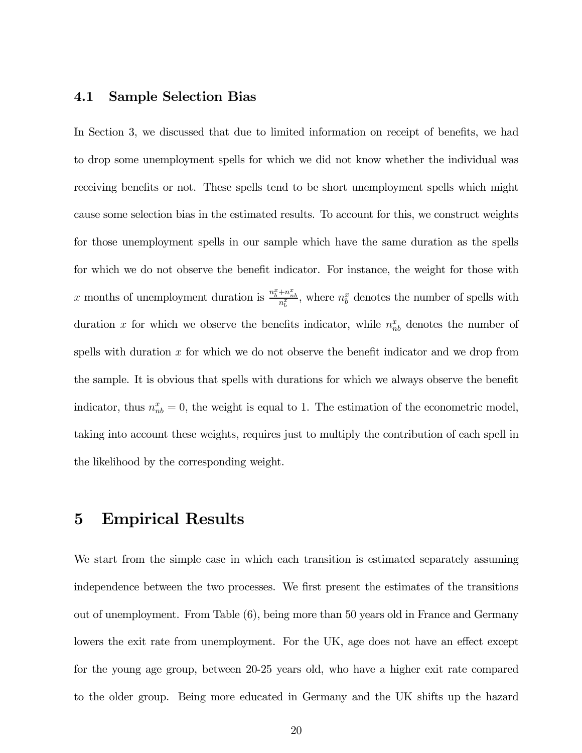#### 4.1 Sample Selection Bias

In Section 3, we discussed that due to limited information on receipt of benefits, we had to drop some unemployment spells for which we did not know whether the individual was receiving benefits or not. These spells tend to be short unemployment spells which might cause some selection bias in the estimated results. To account for this, we construct weights for those unemployment spells in our sample which have the same duration as the spells for which we do not observe the benefit indicator. For instance, the weight for those with x months of unemployment duration is  $\frac{n_b^x + n_{nb}^x}{n_b^x}$ , where  $n_b^x$  denotes the number of spells with duration x for which we observe the benefits indicator, while  $n_{nb}^x$  denotes the number of spells with duration  $x$  for which we do not observe the benefit indicator and we drop from the sample. It is obvious that spells with durations for which we always observe the benefit indicator, thus  $n_{nb}^x = 0$ , the weight is equal to 1. The estimation of the econometric model, taking into account these weights, requires just to multiply the contribution of each spell in the likelihood by the corresponding weight.

# 5 Empirical Results

We start from the simple case in which each transition is estimated separately assuming independence between the two processes. We first present the estimates of the transitions out of unemployment. From Table (6), being more than 50 years old in France and Germany lowers the exit rate from unemployment. For the UK, age does not have an effect except for the young age group, between 20-25 years old, who have a higher exit rate compared to the older group. Being more educated in Germany and the UK shifts up the hazard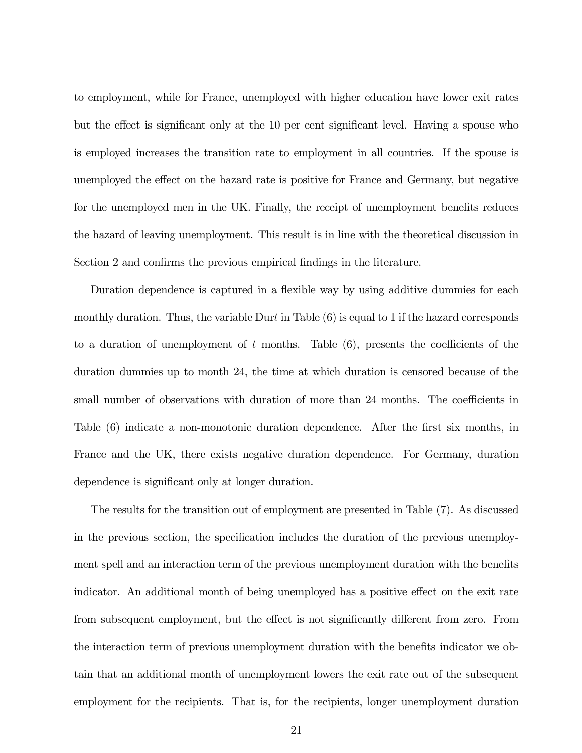to employment, while for France, unemployed with higher education have lower exit rates but the effect is significant only at the 10 per cent significant level. Having a spouse who is employed increases the transition rate to employment in all countries. If the spouse is unemployed the effect on the hazard rate is positive for France and Germany, but negative for the unemployed men in the UK. Finally, the receipt of unemployment benefits reduces the hazard of leaving unemployment. This result is in line with the theoretical discussion in Section 2 and confirms the previous empirical findings in the literature.

Duration dependence is captured in a flexible way by using additive dummies for each monthly duration. Thus, the variable Durt in Table  $(6)$  is equal to 1 if the hazard corresponds to a duration of unemployment of  $t$  months. Table  $(6)$ , presents the coefficients of the duration dummies up to month 24, the time at which duration is censored because of the small number of observations with duration of more than 24 months. The coefficients in Table (6) indicate a non-monotonic duration dependence. After the first six months, in France and the UK, there exists negative duration dependence. For Germany, duration dependence is significant only at longer duration.

The results for the transition out of employment are presented in Table (7). As discussed in the previous section, the specification includes the duration of the previous unemployment spell and an interaction term of the previous unemployment duration with the benefits indicator. An additional month of being unemployed has a positive effect on the exit rate from subsequent employment, but the effect is not significantly different from zero. From the interaction term of previous unemployment duration with the benefits indicator we obtain that an additional month of unemployment lowers the exit rate out of the subsequent employment for the recipients. That is, for the recipients, longer unemployment duration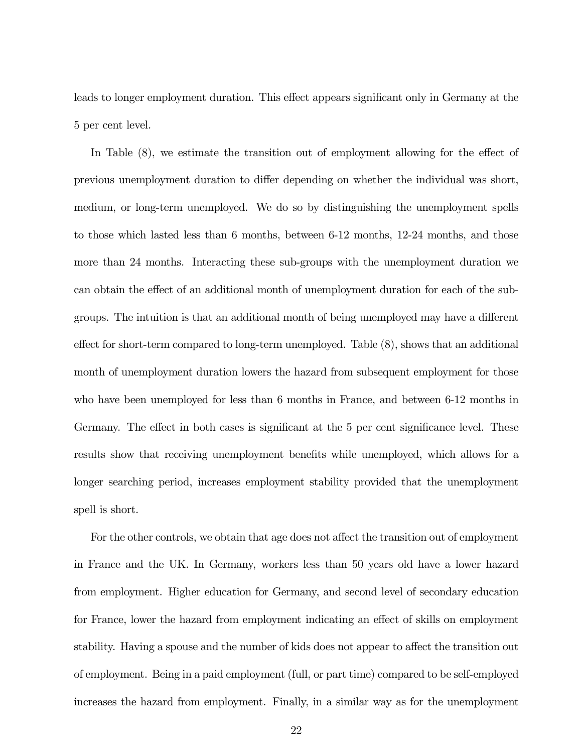leads to longer employment duration. This effect appears significant only in Germany at the 5 per cent level.

In Table (8), we estimate the transition out of employment allowing for the effect of previous unemployment duration to differ depending on whether the individual was short, medium, or long-term unemployed. We do so by distinguishing the unemployment spells to those which lasted less than 6 months, between 6-12 months, 12-24 months, and those more than 24 months. Interacting these sub-groups with the unemployment duration we can obtain the effect of an additional month of unemployment duration for each of the subgroups. The intuition is that an additional month of being unemployed may have a different effect for short-term compared to long-term unemployed. Table (8), shows that an additional month of unemployment duration lowers the hazard from subsequent employment for those who have been unemployed for less than 6 months in France, and between 6-12 months in Germany. The effect in both cases is significant at the 5 per cent significance level. These results show that receiving unemployment benefits while unemployed, which allows for a longer searching period, increases employment stability provided that the unemployment spell is short.

For the other controls, we obtain that age does not affect the transition out of employment in France and the UK. In Germany, workers less than 50 years old have a lower hazard from employment. Higher education for Germany, and second level of secondary education for France, lower the hazard from employment indicating an effect of skills on employment stability. Having a spouse and the number of kids does not appear to affect the transition out of employment. Being in a paid employment (full, or part time) compared to be self-employed increases the hazard from employment. Finally, in a similar way as for the unemployment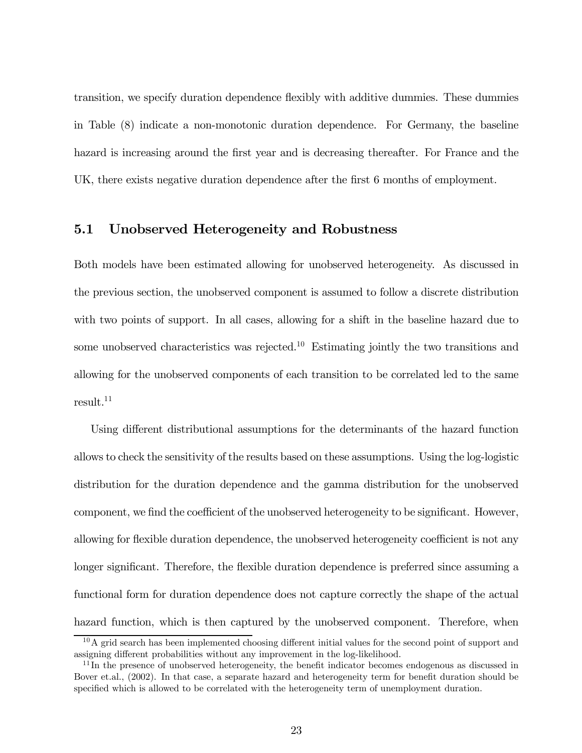transition, we specify duration dependence flexibly with additive dummies. These dummies in Table (8) indicate a non-monotonic duration dependence. For Germany, the baseline hazard is increasing around the first year and is decreasing thereafter. For France and the UK, there exists negative duration dependence after the first 6 months of employment.

### 5.1 Unobserved Heterogeneity and Robustness

Both models have been estimated allowing for unobserved heterogeneity. As discussed in the previous section, the unobserved component is assumed to follow a discrete distribution with two points of support. In all cases, allowing for a shift in the baseline hazard due to some unobserved characteristics was rejected.<sup>10</sup> Estimating jointly the two transitions and allowing for the unobserved components of each transition to be correlated led to the same result.<sup>11</sup>

Using different distributional assumptions for the determinants of the hazard function allows to check the sensitivity of the results based on these assumptions. Using the log-logistic distribution for the duration dependence and the gamma distribution for the unobserved component, we find the coefficient of the unobserved heterogeneity to be significant. However, allowing for flexible duration dependence, the unobserved heterogeneity coefficient is not any longer significant. Therefore, the flexible duration dependence is preferred since assuming a functional form for duration dependence does not capture correctly the shape of the actual hazard function, which is then captured by the unobserved component. Therefore, when

 $10$ A grid search has been implemented choosing different initial values for the second point of support and assigning different probabilities without any improvement in the log-likelihood.

 $11$ In the presence of unobserved heterogeneity, the benefit indicator becomes endogenous as discussed in Bover et.al., (2002). In that case, a separate hazard and heterogeneity term for benefit duration should be specified which is allowed to be correlated with the heterogeneity term of unemployment duration.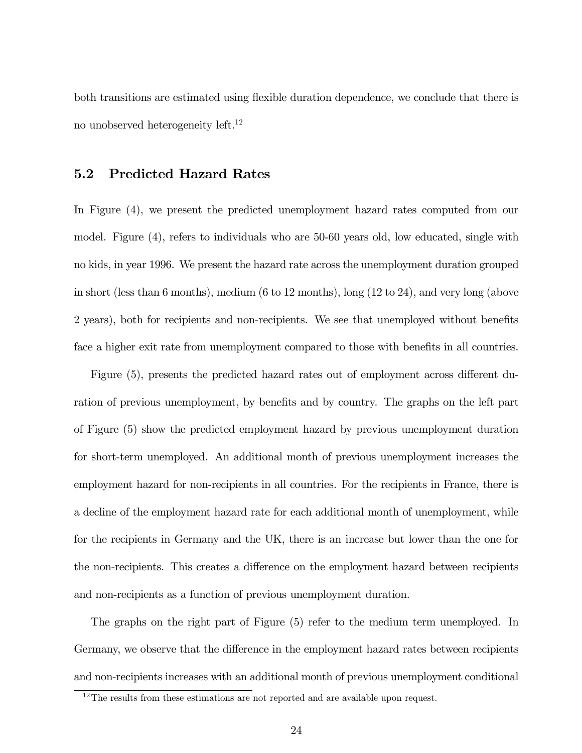both transitions are estimated using flexible duration dependence, we conclude that there is no unobserved heterogeneity left.12

### 5.2 Predicted Hazard Rates

In Figure (4), we present the predicted unemployment hazard rates computed from our model. Figure (4), refers to individuals who are 50-60 years old, low educated, single with no kids, in year 1996. We present the hazard rate across the unemployment duration grouped in short (less than 6 months), medium (6 to 12 months), long (12 to 24), and very long (above 2 years), both for recipients and non-recipients. We see that unemployed without benefits face a higher exit rate from unemployment compared to those with benefits in all countries.

Figure (5), presents the predicted hazard rates out of employment across different duration of previous unemployment, by benefits and by country. The graphs on the left part of Figure (5) show the predicted employment hazard by previous unemployment duration for short-term unemployed. An additional month of previous unemployment increases the employment hazard for non-recipients in all countries. For the recipients in France, there is a decline of the employment hazard rate for each additional month of unemployment, while for the recipients in Germany and the UK, there is an increase but lower than the one for the non-recipients. This creates a difference on the employment hazard between recipients and non-recipients as a function of previous unemployment duration.

The graphs on the right part of Figure (5) refer to the medium term unemployed. In Germany, we observe that the difference in the employment hazard rates between recipients and non-recipients increases with an additional month of previous unemployment conditional

<sup>&</sup>lt;sup>12</sup>The results from these estimations are not reported and are available upon request.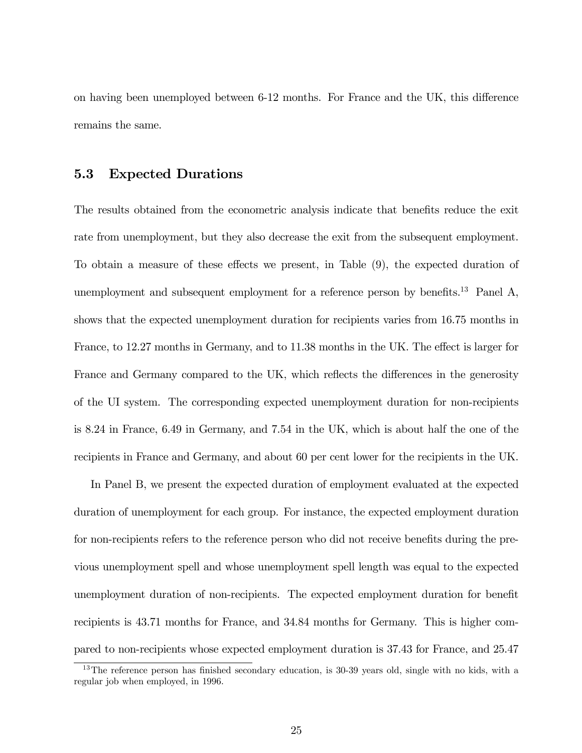on having been unemployed between 6-12 months. For France and the UK, this difference remains the same.

### 5.3 Expected Durations

The results obtained from the econometric analysis indicate that benefits reduce the exit rate from unemployment, but they also decrease the exit from the subsequent employment. To obtain a measure of these effects we present, in Table (9), the expected duration of unemployment and subsequent employment for a reference person by benefits.<sup>13</sup> Panel A, shows that the expected unemployment duration for recipients varies from 16.75 months in France, to 12.27 months in Germany, and to 11.38 months in the UK. The effect is larger for France and Germany compared to the UK, which reflects the differences in the generosity of the UI system. The corresponding expected unemployment duration for non-recipients is 8.24 in France, 6.49 in Germany, and 7.54 in the UK, which is about half the one of the recipients in France and Germany, and about 60 per cent lower for the recipients in the UK.

In Panel B, we present the expected duration of employment evaluated at the expected duration of unemployment for each group. For instance, the expected employment duration for non-recipients refers to the reference person who did not receive benefits during the previous unemployment spell and whose unemployment spell length was equal to the expected unemployment duration of non-recipients. The expected employment duration for benefit recipients is 43.71 months for France, and 34.84 months for Germany. This is higher compared to non-recipients whose expected employment duration is 37.43 for France, and 25.47

<sup>&</sup>lt;sup>13</sup>The reference person has finished secondary education, is 30-39 years old, single with no kids, with a regular job when employed, in 1996.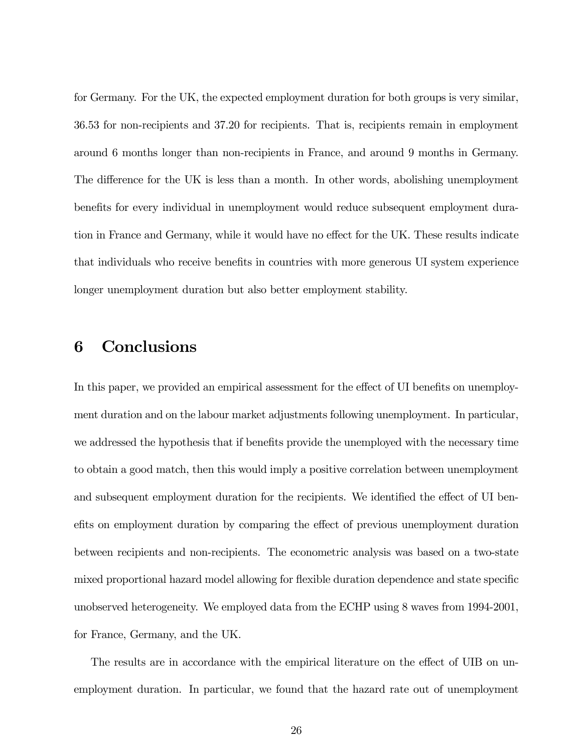for Germany. For the UK, the expected employment duration for both groups is very similar, 36.53 for non-recipients and 37.20 for recipients. That is, recipients remain in employment around 6 months longer than non-recipients in France, and around 9 months in Germany. The difference for the UK is less than a month. In other words, abolishing unemployment benefits for every individual in unemployment would reduce subsequent employment duration in France and Germany, while it would have no effect for the UK. These results indicate that individuals who receive benefits in countries with more generous UI system experience longer unemployment duration but also better employment stability.

# 6 Conclusions

In this paper, we provided an empirical assessment for the effect of UI benefits on unemployment duration and on the labour market adjustments following unemployment. In particular, we addressed the hypothesis that if benefits provide the unemployed with the necessary time to obtain a good match, then this would imply a positive correlation between unemployment and subsequent employment duration for the recipients. We identified the effect of UI benefits on employment duration by comparing the effect of previous unemployment duration between recipients and non-recipients. The econometric analysis was based on a two-state mixed proportional hazard model allowing for flexible duration dependence and state specific unobserved heterogeneity. We employed data from the ECHP using 8 waves from 1994-2001, for France, Germany, and the UK.

The results are in accordance with the empirical literature on the effect of UIB on unemployment duration. In particular, we found that the hazard rate out of unemployment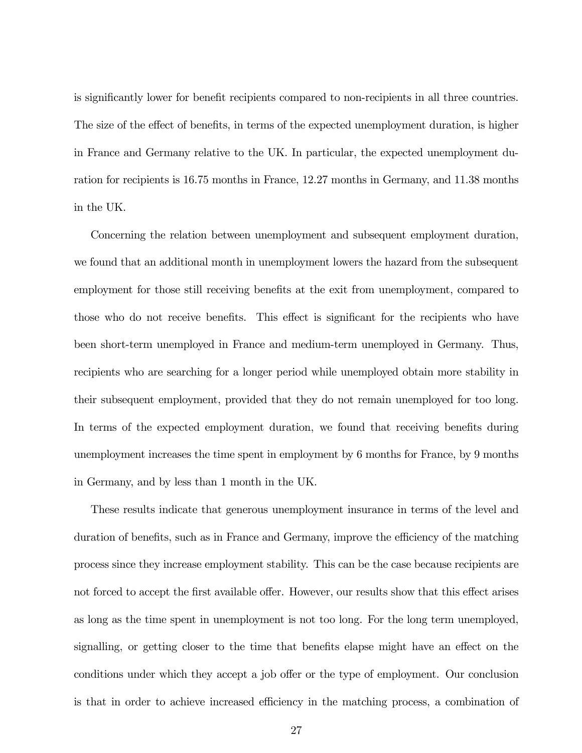is significantly lower for benefit recipients compared to non-recipients in all three countries. The size of the effect of benefits, in terms of the expected unemployment duration, is higher in France and Germany relative to the UK. In particular, the expected unemployment duration for recipients is 16.75 months in France, 12.27 months in Germany, and 11.38 months in the UK.

Concerning the relation between unemployment and subsequent employment duration, we found that an additional month in unemployment lowers the hazard from the subsequent employment for those still receiving benefits at the exit from unemployment, compared to those who do not receive benefits. This effect is significant for the recipients who have been short-term unemployed in France and medium-term unemployed in Germany. Thus, recipients who are searching for a longer period while unemployed obtain more stability in their subsequent employment, provided that they do not remain unemployed for too long. In terms of the expected employment duration, we found that receiving benefits during unemployment increases the time spent in employment by 6 months for France, by 9 months in Germany, and by less than 1 month in the UK.

These results indicate that generous unemployment insurance in terms of the level and duration of benefits, such as in France and Germany, improve the efficiency of the matching process since they increase employment stability. This can be the case because recipients are not forced to accept the first available offer. However, our results show that this effect arises as long as the time spent in unemployment is not too long. For the long term unemployed, signalling, or getting closer to the time that benefits elapse might have an effect on the conditions under which they accept a job offer or the type of employment. Our conclusion is that in order to achieve increased efficiency in the matching process, a combination of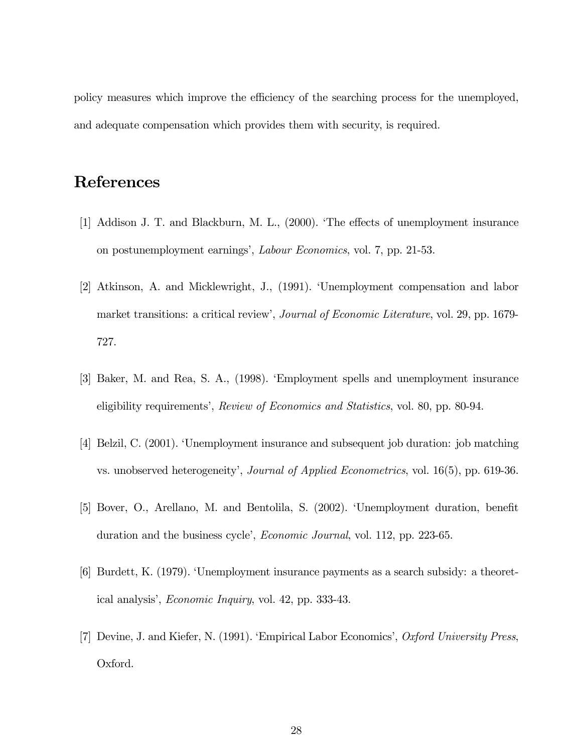policy measures which improve the efficiency of the searching process for the unemployed, and adequate compensation which provides them with security, is required.

# References

- [1] Addison J. T. and Blackburn, M. L., (2000). 'The effects of unemployment insurance on postunemployment earnings', Labour Economics, vol. 7, pp. 21-53.
- [2] Atkinson, A. and Micklewright, J., (1991). 'Unemployment compensation and labor market transitions: a critical review', Journal of Economic Literature, vol. 29, pp. 1679- 727.
- [3] Baker, M. and Rea, S. A., (1998). 'Employment spells and unemployment insurance eligibility requirements', Review of Economics and Statistics, vol. 80, pp. 80-94.
- [4] Belzil, C. (2001). 'Unemployment insurance and subsequent job duration: job matching vs. unobserved heterogeneity', *Journal of Applied Econometrics*, vol. 16(5), pp. 619-36.
- [5] Bover, O., Arellano, M. and Bentolila, S. (2002). 'Unemployment duration, benefit duration and the business cycle', *Economic Journal*, vol. 112, pp. 223-65.
- [6] Burdett, K. (1979). 'Unemployment insurance payments as a search subsidy: a theoretical analysis', Economic Inquiry, vol. 42, pp. 333-43.
- [7] Devine, J. and Kiefer, N. (1991). 'Empirical Labor Economics', Oxford University Press, Oxford.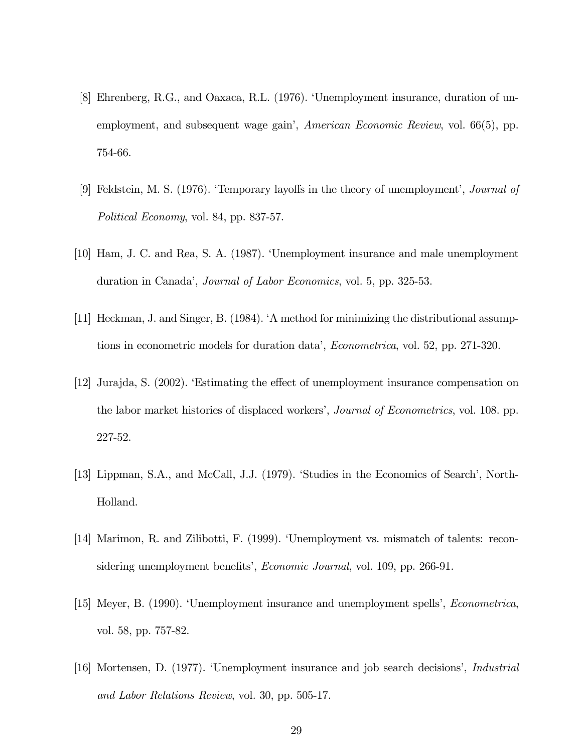- [8] Ehrenberg, R.G., and Oaxaca, R.L. (1976). 'Unemployment insurance, duration of unemployment, and subsequent wage gain', *American Economic Review*, vol. 66(5), pp. 754-66.
- [9] Feldstein, M. S. (1976). 'Temporary layoffs in the theory of unemployment', Journal of Political Economy, vol. 84, pp. 837-57.
- [10] Ham, J. C. and Rea, S. A. (1987). 'Unemployment insurance and male unemployment duration in Canada', *Journal of Labor Economics*, vol. 5, pp. 325-53.
- [11] Heckman, J. and Singer, B. (1984). 'A method for minimizing the distributional assumptions in econometric models for duration data', Econometrica, vol. 52, pp. 271-320.
- [12] Jurajda, S. (2002). 'Estimating the effect of unemployment insurance compensation on the labor market histories of displaced workers', *Journal of Econometrics*, vol. 108. pp. 227-52.
- [13] Lippman, S.A., and McCall, J.J. (1979). 'Studies in the Economics of Search', North-Holland.
- [14] Marimon, R. and Zilibotti, F. (1999). 'Unemployment vs. mismatch of talents: reconsidering unemployment benefits', *Economic Journal*, vol. 109, pp. 266-91.
- [15] Meyer, B. (1990). 'Unemployment insurance and unemployment spells', Econometrica, vol. 58, pp. 757-82.
- [16] Mortensen, D. (1977). 'Unemployment insurance and job search decisions', Industrial and Labor Relations Review, vol. 30, pp. 505-17.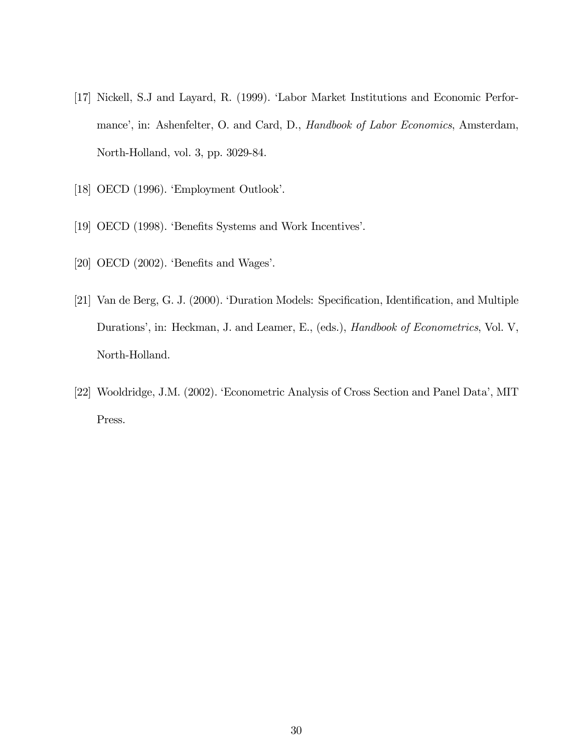- [17] Nickell, S.J and Layard, R. (1999). 'Labor Market Institutions and Economic Performance', in: Ashenfelter, O. and Card, D., Handbook of Labor Economics, Amsterdam, North-Holland, vol. 3, pp. 3029-84.
- [18] OECD (1996). 'Employment Outlook'.
- [19] OECD (1998). 'Benefits Systems and Work Incentives'.
- [20] OECD (2002). 'Benefits and Wages'.
- [21] Van de Berg, G. J. (2000). 'Duration Models: Specification, Identification, and Multiple Durations', in: Heckman, J. and Leamer, E., (eds.), *Handbook of Econometrics*, Vol. V, North-Holland.
- [22] Wooldridge, J.M. (2002). 'Econometric Analysis of Cross Section and Panel Data', MIT Press.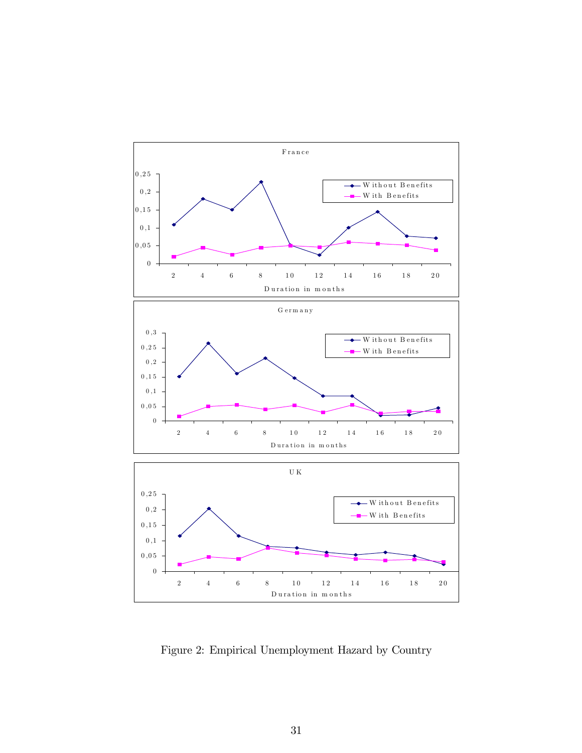

Figure 2: Empirical Unemployment Hazard by Country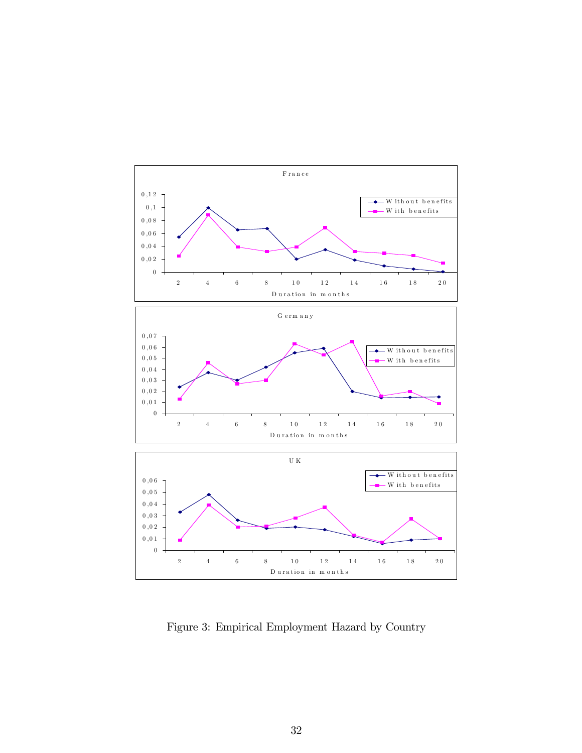

Figure 3: Empirical Employment Hazard by Country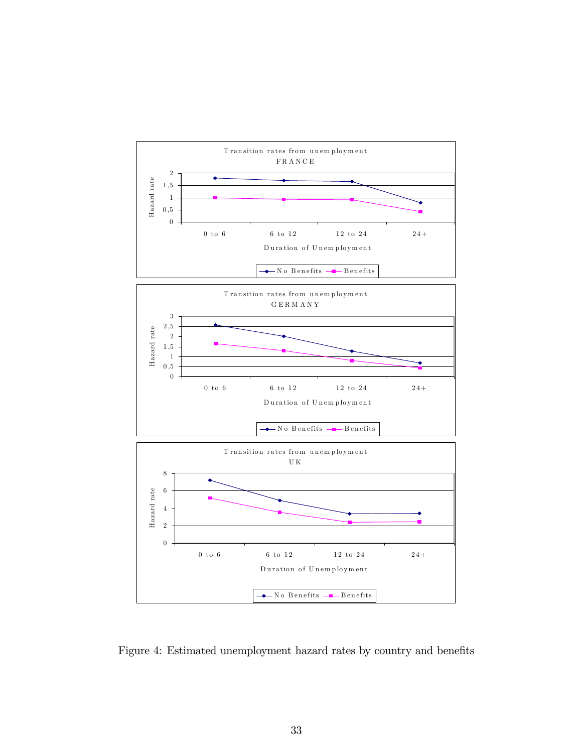

Figure 4: Estimated unemployment hazard rates by country and benefits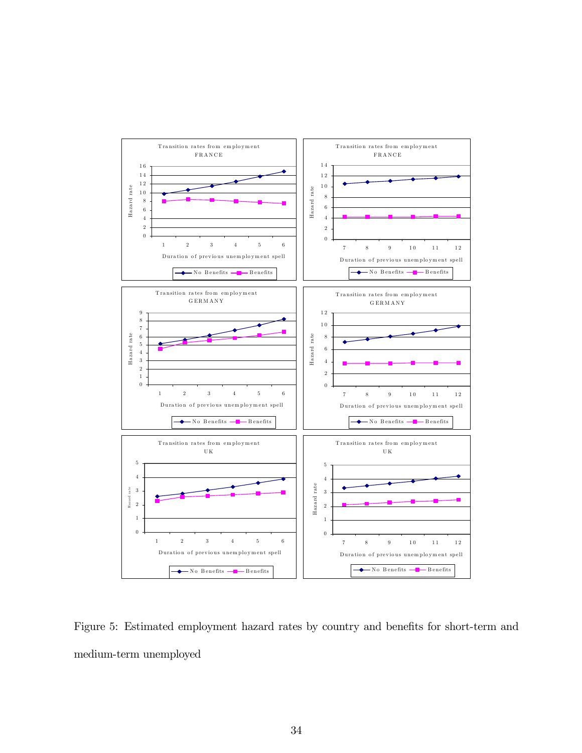

Figure 5: Estimated employment hazard rates by country and benefits for short-term and medium-term unemployed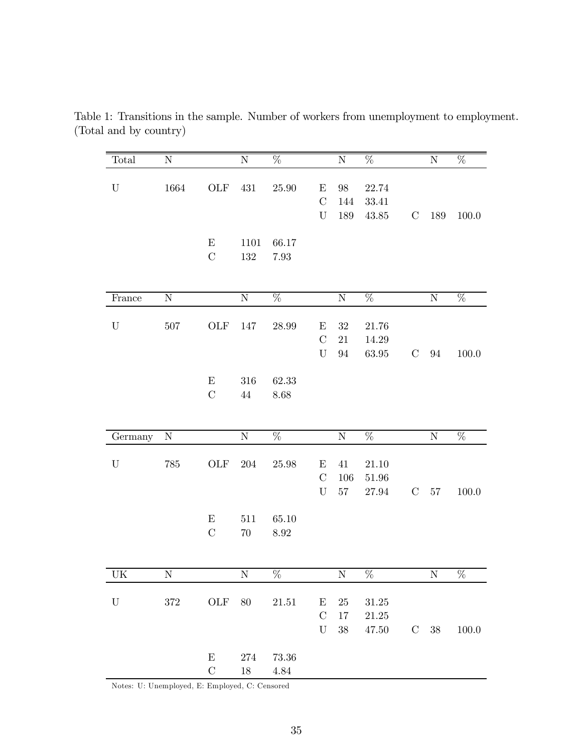| Total       | ${\bf N}$   |                           | $\rm N$   | $\overline{\%}$    |               | $\rm N$     | $\overline{\%}$                                                 |               | ${\rm N}$   | $\overline{\%}$ |
|-------------|-------------|---------------------------|-----------|--------------------|---------------|-------------|-----------------------------------------------------------------|---------------|-------------|-----------------|
| ${\bf U}$   | 1664        | ${\rm OLF}$               | 431       | 25.90              | $\mathbf E$   | $98\,$      | 22.74                                                           |               |             |                 |
|             |             |                           |           |                    | $\mathcal{C}$ | 144         | 33.41                                                           |               |             |                 |
|             |             |                           |           |                    | $\mathbf U$   | 189         | 43.85                                                           | $\mathcal{C}$ | 189         | 100.0           |
|             |             |                           |           |                    |               |             |                                                                 |               |             |                 |
|             |             | $\boldsymbol{\mathrm{E}}$ | 1101      | 66.17              |               |             |                                                                 |               |             |                 |
|             |             | $\overline{C}$            | $132\,$   | $7.93\,$           |               |             |                                                                 |               |             |                 |
|             |             |                           |           |                    |               |             |                                                                 |               |             |                 |
| France      | $\mathbf N$ |                           | ${\rm N}$ | $\overline{\%}$    |               | ${\rm N}$   | $\overline{\%}$                                                 |               | $\mathbf N$ | $\%$            |
|             |             |                           |           |                    |               |             |                                                                 |               |             |                 |
| ${\bf U}$   | $507\,$     | OLF                       | 147       | 28.99              | $\mathbf E$   | $32\,$      | 21.76                                                           |               |             |                 |
|             |             |                           |           |                    | $\mathcal{C}$ | $21\,$      | 14.29                                                           |               |             |                 |
|             |             |                           |           |                    | $\mathbf U$   | $94\,$      | 63.95                                                           | $\mathcal{C}$ | 94          | 100.0           |
|             |             |                           |           |                    |               |             |                                                                 |               |             |                 |
|             |             | $\boldsymbol{\mathrm{E}}$ | 316       | 62.33              |               |             |                                                                 |               |             |                 |
|             |             | $\mathcal{C}$             | $44\,$    | 8.68               |               |             |                                                                 |               |             |                 |
|             |             |                           |           |                    |               |             |                                                                 |               |             |                 |
| Germany     | ${\rm N}$   |                           | ${\rm N}$ | $\overline{\%}$    |               | $\mathbf N$ | $\overline{\%}$                                                 |               | $\mathbf N$ | $\overline{\%}$ |
|             |             |                           |           |                    |               |             |                                                                 |               |             |                 |
| ${\bf U}$   | 785         | OLF                       | $204\,$   | 25.98              | E             | $41\,$      | 21.10                                                           |               |             |                 |
|             |             |                           |           |                    | $\mathcal{C}$ | 106         | $51.96\,$                                                       |               |             |                 |
|             |             |                           |           |                    | U             | $57\,$      | 27.94                                                           | $\mathcal{C}$ | $57\,$      | 100.0           |
|             |             | $\mathbf E$               | 511       | 65.10              |               |             |                                                                 |               |             |                 |
|             |             | $\mathcal{C}$             | $70\,$    | $8.92\,$           |               |             |                                                                 |               |             |                 |
|             |             |                           |           |                    |               |             |                                                                 |               |             |                 |
| UK          | $N_{\odot}$ |                           | $N_{-}$   | $\%$               |               | $N_{\odot}$ | $\%$                                                            |               | $N_{\odot}$ | $\overline{\%}$ |
|             |             |                           |           |                    |               |             |                                                                 |               |             |                 |
| $\mathbf U$ |             |                           |           | 372 OLF 80 21.51 E |               |             | $25\quad 31.25$                                                 |               |             |                 |
|             |             |                           |           |                    | $\mathbf C$   |             | $17\quad 21.25$                                                 |               |             |                 |
|             |             |                           |           |                    | U             |             | $38 \qquad 47.50 \qquad \quad \text{C} \quad \ 38 \qquad 100.0$ |               |             |                 |
|             |             |                           |           |                    |               |             |                                                                 |               |             |                 |
|             |             | $\boldsymbol{\mathrm{E}}$ |           | 274 73.36          |               |             |                                                                 |               |             |                 |

Table 1: Transitions in the sample. Number of workers from unemployment to employment. (Total and by country)

Notes: U: Unemployed, E: Employed, C: Censored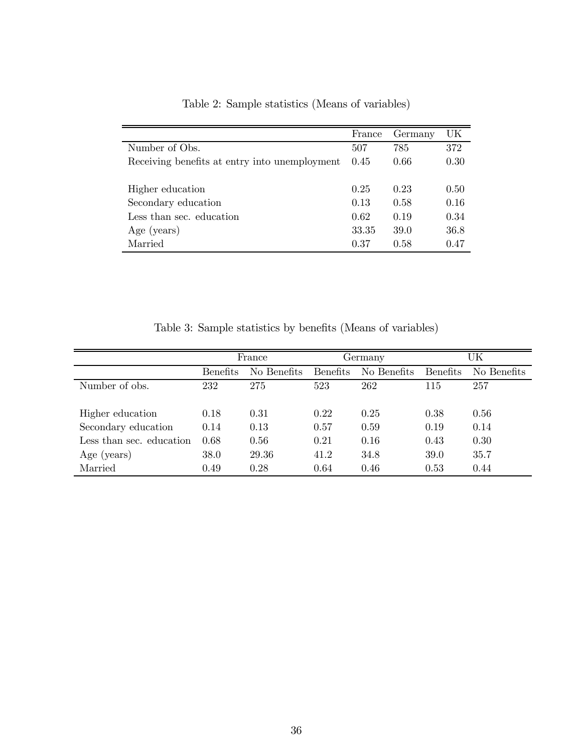|                                               | France | Germany | UK   |
|-----------------------------------------------|--------|---------|------|
| Number of Obs.                                | 507    | 785     | 372  |
| Receiving benefits at entry into unemployment | 0.45   | 0.66    | 0.30 |
| Higher education                              | 0.25   | 0.23    | 0.50 |
| Secondary education                           | 0.13   | 0.58    | 0.16 |
| Less than sec. education                      | 0.62   | 0.19    | 0.34 |
| Age (years)                                   | 33.35  | 39.0    | 36.8 |
| Married                                       | 0.37   | 0.58    | 0.47 |

Table 2: Sample statistics (Means of variables)

Table 3: Sample statistics by benefits (Means of variables)

|                          | France          |             | Germany         |             | UK              |             |
|--------------------------|-----------------|-------------|-----------------|-------------|-----------------|-------------|
|                          | <b>Benefits</b> | No Benefits | <b>Benefits</b> | No Benefits | <b>Benefits</b> | No Benefits |
| Number of obs.           | 232             | 275         | 523             | 262         | 115             | 257         |
| Higher education         | 0.18            | 0.31        | 0.22            | 0.25        | 0.38            | 0.56        |
| Secondary education      | 0.14            | 0.13        | 0.57            | 0.59        | 0.19            | 0.14        |
| Less than sec. education | 0.68            | 0.56        | 0.21            | 0.16        | 0.43            | 0.30        |
| Age (years)              | 38.0            | 29.36       | 41.2            | 34.8        | 39.0            | 35.7        |
| Married                  | 0.49            | 0.28        | 0.64            | 0.46        | 0.53            | 0.44        |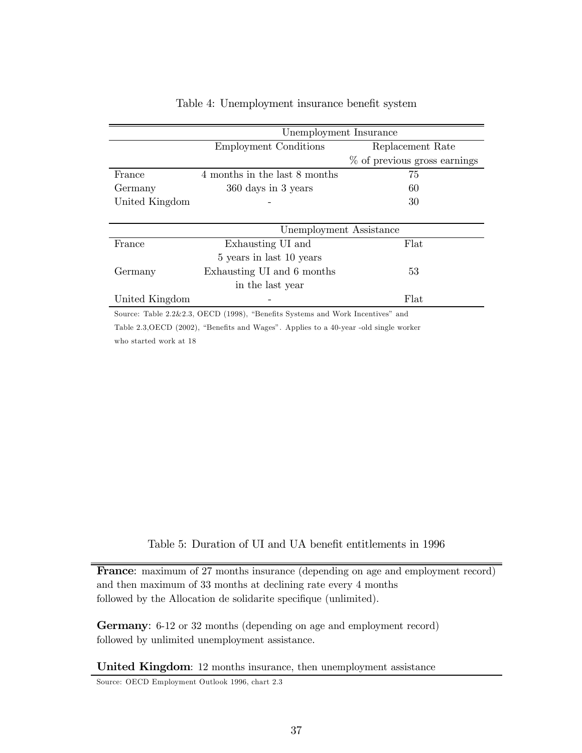|                | Unemployment Insurance        |                                |  |  |
|----------------|-------------------------------|--------------------------------|--|--|
|                | <b>Employment Conditions</b>  | Replacement Rate               |  |  |
|                |                               | $%$ of previous gross earnings |  |  |
| France         | 4 months in the last 8 months | 75                             |  |  |
| Germany        | 360 days in 3 years           | 60                             |  |  |
| United Kingdom |                               | 30                             |  |  |
|                |                               |                                |  |  |
|                | Unemployment Assistance       |                                |  |  |
| France         | Exhausting UI and             | Flat                           |  |  |
|                | 5 years in last 10 years      |                                |  |  |
| Germany        | Exhausting UI and 6 months    | 53                             |  |  |
|                | in the last year              |                                |  |  |
| United Kingdom |                               | Flat                           |  |  |

#### Table 4: Unemployment insurance benefit system

Source: Table 2.2&2.3, OECD (1998), "Benefits Systems and Work Incentives" and Table 2.3,OECD (2002), "Benefits and Wages". Applies to a 40-year -old single worker who started work at 18

Table 5: Duration of UI and UA benefit entitlements in 1996

France: maximum of 27 months insurance (depending on age and employment record) and then maximum of 33 months at declining rate every 4 months followed by the Allocation de solidarite specifique (unlimited).

Germany: 6-12 or 32 months (depending on age and employment record) followed by unlimited unemployment assistance.

United Kingdom: 12 months insurance, then unemployment assistance

Source: OECD Employment Outlook 1996, chart 2.3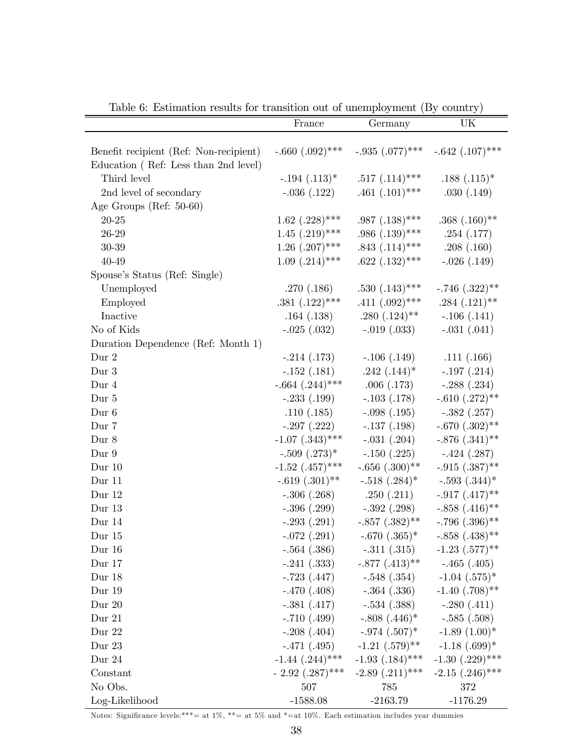|                                                                                | France               | Germany                              | UK                             |
|--------------------------------------------------------------------------------|----------------------|--------------------------------------|--------------------------------|
| Benefit recipient (Ref: Non-recipient)<br>Education (Ref: Less than 2nd level) | $-.660(.092)$ ***    | $-.935$ $(.077)$ ***                 | $-.642(.107)$ ***              |
| Third level                                                                    |                      |                                      |                                |
|                                                                                | $-.194$ $(.113)^*$   | $.517(.114)$ ***<br>$.461(.101)$ *** | $.188(.115)^*$                 |
| 2nd level of secondary                                                         | $-.036(.122)$        |                                      | .030(.149)                     |
| Age Groups (Ref: 50-60)                                                        |                      |                                      |                                |
| $20 - 25$                                                                      | $1.62$ $(.228)$ ***  | $.987(.138)$ ***                     | $.368(.160)$ **                |
| $26 - 29$                                                                      | $1.45$ $(.219)$ ***  | $.986(.139)$ ***                     | .254(.177)                     |
| $30 - 39$                                                                      | $1.26$ $(.207)$ ***  | $.843(.114)$ ***                     | .208(.160)                     |
| 40-49                                                                          | $1.09$ $(.214)$ ***  | $.622(.132)***$                      | $-.026(.149)$                  |
| Spouse's Status (Ref: Single)                                                  |                      |                                      |                                |
| Unemployed                                                                     | .270(.186)           | $.530(.143)$ ***                     | $-.746(.322)$ **               |
| Employed                                                                       | $.381(.122)$ ***     | $.411(.092)$ ***                     | $.284(.121)$ **                |
| Inactive                                                                       | .164(.138)           | $.280(.124)$ **                      | $-.106(.141)$                  |
| No of Kids                                                                     | $-.025(.032)$        | $-.019(.033)$                        | $-.031(.041)$                  |
| Duration Dependence (Ref: Month 1)                                             |                      |                                      |                                |
| Dur 2                                                                          | $-.214(.173)$        | $-.106(.149)$ $.111(.166)$           |                                |
| Dur 3                                                                          | $-.152(.181)$        | $.242(.144)^*$                       | $-.197(.214)$                  |
| Dur 4                                                                          | $-.664$ $(.244)$ *** | .006(.173)                           | $-.288(.234)$                  |
| Dur 5                                                                          | $-.233(.199)$        | $-.103(.178)$                        | $-.610(.272)$ **               |
| Dur 6                                                                          | .110(.185)           | $-.098(.195)$                        | $-.382(.257)$                  |
| Dur 7                                                                          | $-.297(.222)$        | $-.137(.198)$                        | $-.670(.302)$ **               |
| Dur 8                                                                          | $-1.07$ $(.343)$ *** | $-.031(.204)$                        | $-.876(.341)$ **               |
| Dur 9                                                                          | $-.509(.273)*$       | $-.150(.225)$                        | $-.424(.287)$                  |
| Dur $10$                                                                       | $-1.52$ $(.457)$ *** | $-.656(.300)$ **                     | $-.915(.387)$ **               |
| Dur 11                                                                         | $-.619(.301)$ **     | $-.518(.284)$ *                      | $-.593(.344)$ *                |
| Dur $12$                                                                       | $-.306(.268)$        | .250(.211)                           | $-.917(.417)$ **               |
| Dur 13                                                                         | $-.396(.299)$        | $-.392(.298)$                        | $-.858(.416)$ **               |
| Dur 14                                                                         | $-.293(.291)$        | $-.857(.382)$ **                     | $-.796(.396)$ **               |
| Dur 15                                                                         | $-.072(.291)$        | $-.670(.365)*$                       | $-.858(.438)$ **               |
| Dur 16                                                                         | $-.564(.386)$        | $-.311(.315)$                        | $-1.23$ $(.577)^{**}$          |
| Dur 17                                                                         | $-.241(.333)$        | $-.877(.413)$ **                     | $-.465(.405)$                  |
| Dur 18                                                                         | $-.723(.447)$        | $-.548(.354)$                        | $-1.04$ $(.575)^*$             |
| Dur 19                                                                         | $-.470(.408)$        | $-.364(.336)$                        | $-1.40$ $(.708)$ <sup>**</sup> |
| Dur $20$                                                                       | $-.381(.417)$        | $-.534(.388)$                        | $-.280(.411)$                  |
| Dur 21                                                                         | $-.710(.499)$        | $-.808(.446)*$                       | $-.585(.508)$                  |
| Dur 22                                                                         | $-.208(.404)$        | $-.974$ $(.507)^*$                   | $-1.89(1.00)*$                 |
| Dur 23                                                                         | $-.471(.495)$        | $-1.21$ $(.579)$ <sup>**</sup>       | $-1.18$ $(.699)*$              |
| Dur 24                                                                         | $-1.44$ $(.244)$ *** | $-1.93$ $(.184)$ ***                 | $-1.30$ $(.229)$ ***           |
| Constant                                                                       | $-2.92$ $(.287)$ *** | $-2.89$ $(.211)$ ***                 | $-2.15$ $(.246)$ ***           |
| No Obs.                                                                        | 507                  | 785                                  | 372                            |
| Log-Likelihood                                                                 | $-1588.08$           | $-2163.79$                           | $-1176.29$                     |

Table 6: Estimation results for transition out of unemployment (By country)

Notes: Significance levels:\*\*\*= at  $1\%$ , \*\*= at  $5\%$  and \*=at  $10\%$ . Each estimation includes year dummies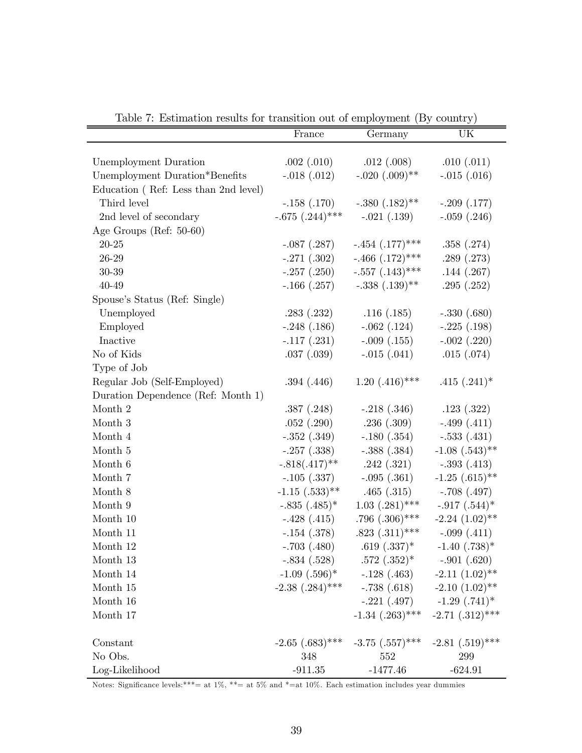| Table 1. Estimation results for transition out of employment (Dy country) |                                |                      |                                |
|---------------------------------------------------------------------------|--------------------------------|----------------------|--------------------------------|
|                                                                           | France                         | Germany              | UK                             |
|                                                                           |                                |                      |                                |
| Unemployment Duration                                                     | .002(.010)                     | .012(.008)           | .010(.011)                     |
| Unemployment Duration*Benefits                                            | $-.018(.012)$                  | $-.020(.009)$ **     | $-.015(.016)$                  |
| Education (Ref: Less than 2nd level)                                      |                                |                      |                                |
| Third level                                                               | $-.158(.170)$                  | $-.380(.182)$ **     | $-.209(.177)$                  |
| 2nd level of secondary                                                    | $-.675(.244)$ ***              | $-.021(.139)$        | $-.059(.246)$                  |
| Age Groups (Ref: $50-60$ )                                                |                                |                      |                                |
| $20 - 25$                                                                 | $-.087(.287)$                  | $-.454$ $(.177)$ *** | .358(.274)                     |
| $26 - 29$                                                                 | $-.271(.302)$                  | $-.466(.172)$ ***    | .289(.273)                     |
| $30 - 39$                                                                 | $-.257(.250)$                  | $-.557(.143)$ ***    | .144(.267)                     |
| 40-49                                                                     | $-.166(.257)$                  | $-.338(.139)$ **     | .295(.252)                     |
| Spouse's Status (Ref: Single)                                             |                                |                      |                                |
| Unemployed                                                                | .283(.232)                     | .116(.185)           | $-.330(.680)$                  |
| Employed                                                                  | $-.248(.186)$                  | $-.062$ $(.124)$     | $-.225(.198)$                  |
| Inactive                                                                  | $-.117(.231)$                  | $-.009(.155)$        | $-.002$ $(.220)$               |
| No of Kids                                                                | .037(.039)                     | $-.015(.041)$        | .015(.074)                     |
| Type of Job                                                               |                                |                      |                                |
| Regular Job (Self-Employed)                                               | .394(.446)                     | $1.20$ $(.416)$ ***  | $.415(.241)^*$                 |
| Duration Dependence (Ref: Month 1)                                        |                                |                      |                                |
| Month 2                                                                   | .387(.248)                     | $-.218(.346)$        | .123(.322)                     |
| Month 3                                                                   | .052(.290)                     | .236(.309)           | $-.499(.411)$                  |
| Month $4\,$                                                               | $-.352(.349)$                  | $-.180(.354)$        | $-.533(.431)$                  |
| Month $5\,$                                                               | $-.257(.338)$                  | $-.388(.384)$        | $-1.08$ $(.543)$ <sup>**</sup> |
| Month 6                                                                   | $-.818(.417)$ **               | .242(.321)           | $-.393(.413)$                  |
| Month 7                                                                   | $-.105(.337)$                  | $-.095(.361)$        | $-1.25$ $(.615)$ **            |
| Month 8                                                                   | $-1.15$ $(.533)$ <sup>**</sup> | .465(.315)           | $-.708(.497)$                  |
| Month 9                                                                   | $-.835(.485)^*$                | $1.03$ $(.281)$ ***  | $-.917(.544)$ *                |
| Month 10                                                                  | $-.428(.415)$                  | $.796(.306)$ ***     | $-2.24$ $(1.02)$ **            |
| Month 11                                                                  | $-.154(.378)$                  | $.823(.311)***$      | $-.099(.411)$                  |
| Month 12                                                                  | $-.703(.480)$                  | $.619(.337)^*$       | $-1.40$ $(.738)*$              |
| Month 13                                                                  | $-.834(.528)$                  | $.572(.352)^*$       | $-.901(.620)$                  |
| Month 14                                                                  | $-1.09$ $(.596)*$              | $-.128(.463)$        | $-2.11(1.02)$ **               |
| Month 15                                                                  | $-2.38$ $(.284)$ ***           | $-.738(.618)$        | $-2.10(1.02)$ **               |
| Month 16                                                                  |                                | $-.221(.497)$        | $-1.29$ $(.741)^*$             |
| Month 17                                                                  |                                | $-1.34$ $(.263)$ *** | $-2.71$ $(.312)$ ***           |
|                                                                           |                                |                      |                                |
| Constant                                                                  | $-2.65$ $(.683)$ ***           | $-3.75$ $(.557)$ *** | $-2.81$ $(.519)$ ***           |
| No Obs.                                                                   | 348                            | 552                  | 299                            |
| Log-Likelihood                                                            | $-911.35$                      | $-1477.46$           | $-624.91$                      |

Table 7: Estimation results for transition out of employment (By country)

Notes: Significance levels:\*\*\*= at 1%, \*\*= at 5% and \*=at 10%. Each estimation includes year dummies